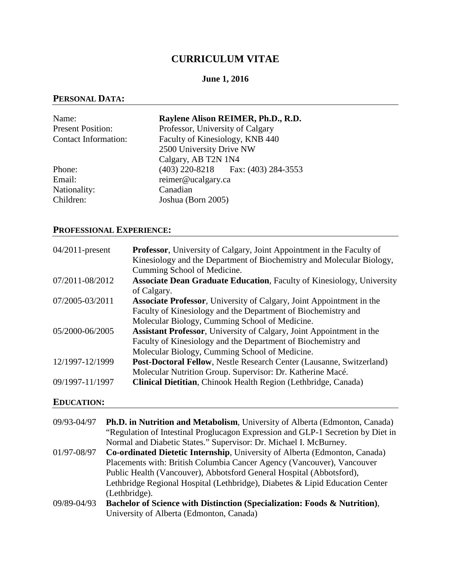# **CURRICULUM VITAE**

# **June 1, 2016**

## **PERSONAL DATA:**

| Name:                       | Raylene Alison REIMER, Ph.D., R.D.     |
|-----------------------------|----------------------------------------|
| <b>Present Position:</b>    | Professor, University of Calgary       |
| <b>Contact Information:</b> | Faculty of Kinesiology, KNB 440        |
|                             | 2500 University Drive NW               |
|                             | Calgary, AB T2N 1N4                    |
| Phone:                      | $(403)$ 220-8218 Fax: $(403)$ 284-3553 |
| Email:                      | reimer@ucalgary.ca                     |
| Nationality:                | Canadian                               |
| Children:                   | Joshua (Born 2005)                     |

# **PROFESSIONAL EXPERIENCE:**

| $04/2011$ -present | <b>Professor</b> , University of Calgary, Joint Appointment in the Faculty of<br>Kinesiology and the Department of Biochemistry and Molecular Biology,<br>Cumming School of Medicine.           |
|--------------------|-------------------------------------------------------------------------------------------------------------------------------------------------------------------------------------------------|
| 07/2011-08/2012    | <b>Associate Dean Graduate Education, Faculty of Kinesiology, University</b><br>of Calgary.                                                                                                     |
| 07/2005-03/2011    | <b>Associate Professor</b> , University of Calgary, Joint Appointment in the<br>Faculty of Kinesiology and the Department of Biochemistry and<br>Molecular Biology, Cumming School of Medicine. |
| 05/2000-06/2005    | <b>Assistant Professor, University of Calgary, Joint Appointment in the</b><br>Faculty of Kinesiology and the Department of Biochemistry and<br>Molecular Biology, Cumming School of Medicine.  |
| 12/1997-12/1999    | Post-Doctoral Fellow, Nestle Research Center (Lausanne, Switzerland)<br>Molecular Nutrition Group. Supervisor: Dr. Katherine Macé.                                                              |
| 09/1997-11/1997    | Clinical Dietitian, Chinook Health Region (Lethbridge, Canada)                                                                                                                                  |

## **EDUCATION:**

| 09/93-04/97 | <b>Ph.D. in Nutrition and Metabolism</b> , University of Alberta (Edmonton, Canada) |
|-------------|-------------------------------------------------------------------------------------|
|             | "Regulation of Intestinal Proglucagon Expression and GLP-1 Secretion by Diet in     |
|             | Normal and Diabetic States." Supervisor: Dr. Michael I. McBurney.                   |
| 01/97-08/97 | Co-ordinated Dietetic Internship, University of Alberta (Edmonton, Canada)          |
|             | Placements with: British Columbia Cancer Agency (Vancouver), Vancouver              |
|             | Public Health (Vancouver), Abbotsford General Hospital (Abbotsford),                |
|             | Lethbridge Regional Hospital (Lethbridge), Diabetes & Lipid Education Center        |
|             | (Lethbridge).                                                                       |
| 09/89-04/93 | Bachelor of Science with Distinction (Specialization: Foods & Nutrition),           |
|             | University of Alberta (Edmonton, Canada)                                            |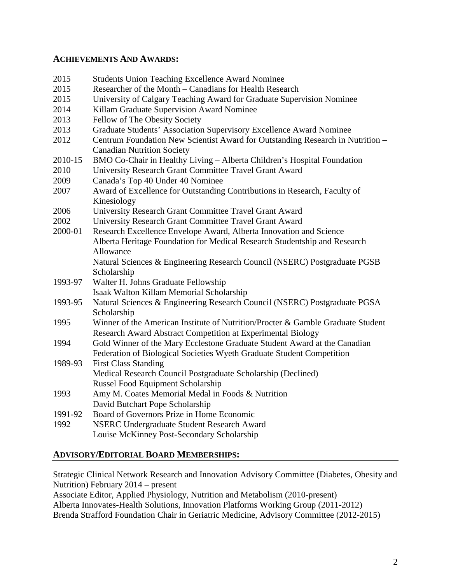#### **ACHIEVEMENTS AND AWARDS:**

| 2015    | <b>Students Union Teaching Excellence Award Nominee</b>                         |
|---------|---------------------------------------------------------------------------------|
| 2015    | Researcher of the Month – Canadians for Health Research                         |
| 2015    | University of Calgary Teaching Award for Graduate Supervision Nominee           |
| 2014    | Killam Graduate Supervision Award Nominee                                       |
| 2013    | Fellow of The Obesity Society                                                   |
| 2013    | Graduate Students' Association Supervisory Excellence Award Nominee             |
| 2012    | Centrum Foundation New Scientist Award for Outstanding Research in Nutrition -  |
|         | <b>Canadian Nutrition Society</b>                                               |
| 2010-15 | BMO Co-Chair in Healthy Living - Alberta Children's Hospital Foundation         |
| 2010    | University Research Grant Committee Travel Grant Award                          |
| 2009    | Canada's Top 40 Under 40 Nominee                                                |
| 2007    | Award of Excellence for Outstanding Contributions in Research, Faculty of       |
|         | Kinesiology                                                                     |
| 2006    | University Research Grant Committee Travel Grant Award                          |
| 2002    | University Research Grant Committee Travel Grant Award                          |
| 2000-01 | Research Excellence Envelope Award, Alberta Innovation and Science              |
|         | Alberta Heritage Foundation for Medical Research Studentship and Research       |
|         | Allowance                                                                       |
|         | Natural Sciences & Engineering Research Council (NSERC) Postgraduate PGSB       |
|         | Scholarship                                                                     |
| 1993-97 | Walter H. Johns Graduate Fellowship                                             |
|         | Isaak Walton Killam Memorial Scholarship                                        |
| 1993-95 | Natural Sciences & Engineering Research Council (NSERC) Postgraduate PGSA       |
|         | Scholarship                                                                     |
| 1995    | Winner of the American Institute of Nutrition/Procter & Gamble Graduate Student |
|         | Research Award Abstract Competition at Experimental Biology                     |
| 1994    | Gold Winner of the Mary Ecclestone Graduate Student Award at the Canadian       |
|         | Federation of Biological Societies Wyeth Graduate Student Competition           |
| 1989-93 | <b>First Class Standing</b>                                                     |
|         | Medical Research Council Postgraduate Scholarship (Declined)                    |
|         | <b>Russel Food Equipment Scholarship</b>                                        |
| 1993    | Amy M. Coates Memorial Medal in Foods & Nutrition                               |
|         | David Butchart Pope Scholarship                                                 |
| 1991-92 | Board of Governors Prize in Home Economic                                       |
| 1992    | NSERC Undergraduate Student Research Award                                      |
|         | Louise McKinney Post-Secondary Scholarship                                      |

## **ADVISORY/EDITORIAL BOARD MEMBERSHIPS:**

Strategic Clinical Network Research and Innovation Advisory Committee (Diabetes, Obesity and Nutrition) February 2014 – present

Associate Editor, Applied Physiology, Nutrition and Metabolism (2010-present)

Alberta Innovates-Health Solutions, Innovation Platforms Working Group (2011-2012)

Brenda Strafford Foundation Chair in Geriatric Medicine, Advisory Committee (2012-2015)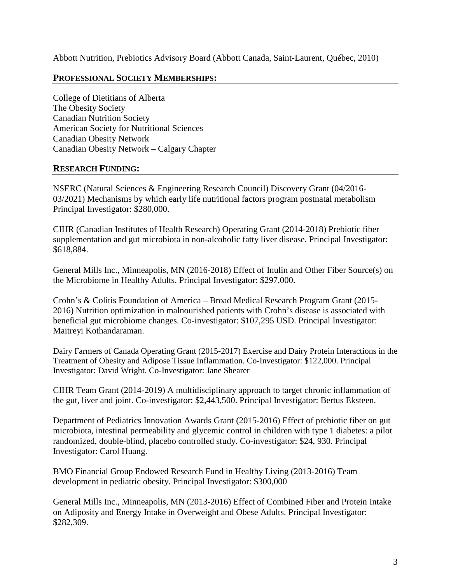Abbott Nutrition, Prebiotics Advisory Board (Abbott Canada, Saint-Laurent, Québec, 2010)

## **PROFESSIONAL SOCIETY MEMBERSHIPS:**

College of Dietitians of Alberta The Obesity Society Canadian Nutrition Society American Society for Nutritional Sciences Canadian Obesity Network Canadian Obesity Network – Calgary Chapter

### **RESEARCH FUNDING:**

NSERC (Natural Sciences & Engineering Research Council) Discovery Grant (04/2016- 03/2021) Mechanisms by which early life nutritional factors program postnatal metabolism Principal Investigator: \$280,000.

CIHR (Canadian Institutes of Health Research) Operating Grant (2014-2018) Prebiotic fiber supplementation and gut microbiota in non-alcoholic fatty liver disease. Principal Investigator: \$618,884.

General Mills Inc., Minneapolis, MN (2016-2018) Effect of Inulin and Other Fiber Source(s) on the Microbiome in Healthy Adults. Principal Investigator: \$297,000.

Crohn's & Colitis Foundation of America – Broad Medical Research Program Grant (2015- 2016) Nutrition optimization in malnourished patients with Crohn's disease is associated with beneficial gut microbiome changes. Co-investigator: \$107,295 USD. Principal Investigator: Maitreyi Kothandaraman.

Dairy Farmers of Canada Operating Grant (2015-2017) Exercise and Dairy Protein Interactions in the Treatment of Obesity and Adipose Tissue Inflammation. Co-Investigator: \$122,000. Principal Investigator: David Wright. Co-Investigator: Jane Shearer

CIHR Team Grant (2014-2019) A multidisciplinary approach to target chronic inflammation of the gut, liver and joint. Co-investigator: \$2,443,500. Principal Investigator: Bertus Eksteen.

Department of Pediatrics Innovation Awards Grant (2015-2016) Effect of prebiotic fiber on gut microbiota, intestinal permeability and glycemic control in children with type 1 diabetes: a pilot randomized, double-blind, placebo controlled study. Co-investigator: \$24, 930. Principal Investigator: Carol Huang.

BMO Financial Group Endowed Research Fund in Healthy Living (2013-2016) Team development in pediatric obesity. Principal Investigator: \$300,000

General Mills Inc., Minneapolis, MN (2013-2016) Effect of Combined Fiber and Protein Intake on Adiposity and Energy Intake in Overweight and Obese Adults. Principal Investigator: \$282,309.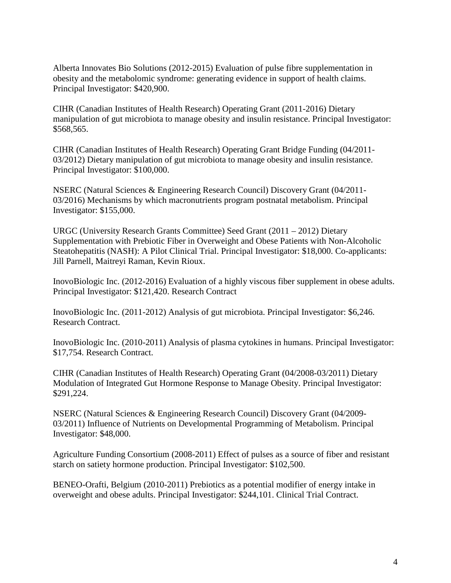Alberta Innovates Bio Solutions (2012-2015) Evaluation of pulse fibre supplementation in obesity and the metabolomic syndrome: generating evidence in support of health claims. Principal Investigator: \$420,900.

CIHR (Canadian Institutes of Health Research) Operating Grant (2011-2016) Dietary manipulation of gut microbiota to manage obesity and insulin resistance. Principal Investigator: \$568,565.

CIHR (Canadian Institutes of Health Research) Operating Grant Bridge Funding (04/2011- 03/2012) Dietary manipulation of gut microbiota to manage obesity and insulin resistance. Principal Investigator: \$100,000.

NSERC (Natural Sciences & Engineering Research Council) Discovery Grant (04/2011- 03/2016) Mechanisms by which macronutrients program postnatal metabolism. Principal Investigator: \$155,000.

URGC (University Research Grants Committee) Seed Grant (2011 – 2012) Dietary Supplementation with Prebiotic Fiber in Overweight and Obese Patients with Non-Alcoholic Steatohepatitis (NASH): A Pilot Clinical Trial. Principal Investigator: \$18,000. Co-applicants: Jill Parnell, Maitreyi Raman, Kevin Rioux.

InovoBiologic Inc. (2012-2016) Evaluation of a highly viscous fiber supplement in obese adults. Principal Investigator: \$121,420. Research Contract

InovoBiologic Inc. (2011-2012) Analysis of gut microbiota. Principal Investigator: \$6,246. Research Contract.

InovoBiologic Inc. (2010-2011) Analysis of plasma cytokines in humans. Principal Investigator: \$17,754. Research Contract.

CIHR (Canadian Institutes of Health Research) Operating Grant (04/2008-03/2011) Dietary Modulation of Integrated Gut Hormone Response to Manage Obesity. Principal Investigator: \$291,224.

NSERC (Natural Sciences & Engineering Research Council) Discovery Grant (04/2009- 03/2011) Influence of Nutrients on Developmental Programming of Metabolism. Principal Investigator: \$48,000.

Agriculture Funding Consortium (2008-2011) Effect of pulses as a source of fiber and resistant starch on satiety hormone production. Principal Investigator: \$102,500.

BENEO-Orafti, Belgium (2010-2011) Prebiotics as a potential modifier of energy intake in overweight and obese adults. Principal Investigator: \$244,101. Clinical Trial Contract.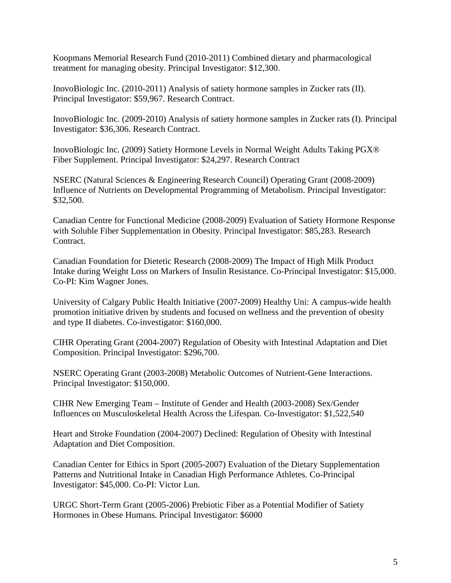Koopmans Memorial Research Fund (2010-2011) Combined dietary and pharmacological treatment for managing obesity. Principal Investigator: \$12,300.

InovoBiologic Inc. (2010-2011) Analysis of satiety hormone samples in Zucker rats (II). Principal Investigator: \$59,967. Research Contract.

InovoBiologic Inc. (2009-2010) Analysis of satiety hormone samples in Zucker rats (I). Principal Investigator: \$36,306. Research Contract.

InovoBiologic Inc. (2009) Satiety Hormone Levels in Normal Weight Adults Taking PGX® Fiber Supplement. Principal Investigator: \$24,297. Research Contract

NSERC (Natural Sciences & Engineering Research Council) Operating Grant (2008-2009) Influence of Nutrients on Developmental Programming of Metabolism. Principal Investigator: \$32,500.

Canadian Centre for Functional Medicine (2008-2009) Evaluation of Satiety Hormone Response with Soluble Fiber Supplementation in Obesity. Principal Investigator: \$85,283. Research Contract.

Canadian Foundation for Dietetic Research (2008-2009) The Impact of High Milk Product Intake during Weight Loss on Markers of Insulin Resistance. Co-Principal Investigator: \$15,000. Co-PI: Kim Wagner Jones.

University of Calgary Public Health Initiative (2007-2009) Healthy Uni: A campus-wide health promotion initiative driven by students and focused on wellness and the prevention of obesity and type II diabetes. Co-investigator: \$160,000.

CIHR Operating Grant (2004-2007) Regulation of Obesity with Intestinal Adaptation and Diet Composition. Principal Investigator: \$296,700.

NSERC Operating Grant (2003-2008) Metabolic Outcomes of Nutrient-Gene Interactions. Principal Investigator: \$150,000.

CIHR New Emerging Team – Institute of Gender and Health (2003-2008) Sex/Gender Influences on Musculoskeletal Health Across the Lifespan. Co-Investigator: \$1,522,540

Heart and Stroke Foundation (2004-2007) Declined: Regulation of Obesity with Intestinal Adaptation and Diet Composition.

Canadian Center for Ethics in Sport (2005-2007) Evaluation of the Dietary Supplementation Patterns and Nutritional Intake in Canadian High Performance Athletes. Co-Principal Investigator: \$45,000. Co-PI: Victor Lun.

URGC Short-Term Grant (2005-2006) Prebiotic Fiber as a Potential Modifier of Satiety Hormones in Obese Humans. Principal Investigator: \$6000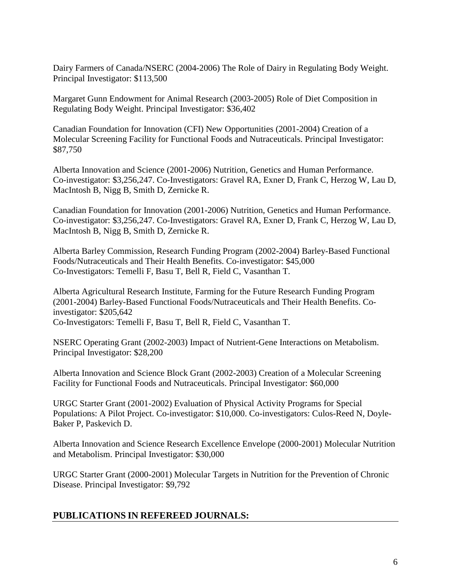Dairy Farmers of Canada/NSERC (2004-2006) The Role of Dairy in Regulating Body Weight. Principal Investigator: \$113,500

Margaret Gunn Endowment for Animal Research (2003-2005) Role of Diet Composition in Regulating Body Weight. Principal Investigator: \$36,402

Canadian Foundation for Innovation (CFI) New Opportunities (2001-2004) Creation of a Molecular Screening Facility for Functional Foods and Nutraceuticals. Principal Investigator: \$87,750

Alberta Innovation and Science (2001-2006) Nutrition, Genetics and Human Performance. Co-investigator: \$3,256,247. Co-Investigators: Gravel RA, Exner D, Frank C, Herzog W, Lau D, MacIntosh B, Nigg B, Smith D, Zernicke R.

Canadian Foundation for Innovation (2001-2006) Nutrition, Genetics and Human Performance. Co-investigator: \$3,256,247. Co-Investigators: Gravel RA, Exner D, Frank C, Herzog W, Lau D, MacIntosh B, Nigg B, Smith D, Zernicke R.

Alberta Barley Commission, Research Funding Program (2002-2004) Barley-Based Functional Foods/Nutraceuticals and Their Health Benefits. Co-investigator: \$45,000 Co-Investigators: Temelli F, Basu T, Bell R, Field C, Vasanthan T.

Alberta Agricultural Research Institute, Farming for the Future Research Funding Program (2001-2004) Barley-Based Functional Foods/Nutraceuticals and Their Health Benefits. Coinvestigator: \$205,642 Co-Investigators: Temelli F, Basu T, Bell R, Field C, Vasanthan T.

NSERC Operating Grant (2002-2003) Impact of Nutrient-Gene Interactions on Metabolism. Principal Investigator: \$28,200

Alberta Innovation and Science Block Grant (2002-2003) Creation of a Molecular Screening Facility for Functional Foods and Nutraceuticals. Principal Investigator: \$60,000

URGC Starter Grant (2001-2002) Evaluation of Physical Activity Programs for Special Populations: A Pilot Project. Co-investigator: \$10,000. Co-investigators: Culos-Reed N, Doyle-Baker P, Paskevich D.

Alberta Innovation and Science Research Excellence Envelope (2000-2001) Molecular Nutrition and Metabolism. Principal Investigator: \$30,000

URGC Starter Grant (2000-2001) Molecular Targets in Nutrition for the Prevention of Chronic Disease. Principal Investigator: \$9,792

# **PUBLICATIONS IN REFEREED JOURNALS:**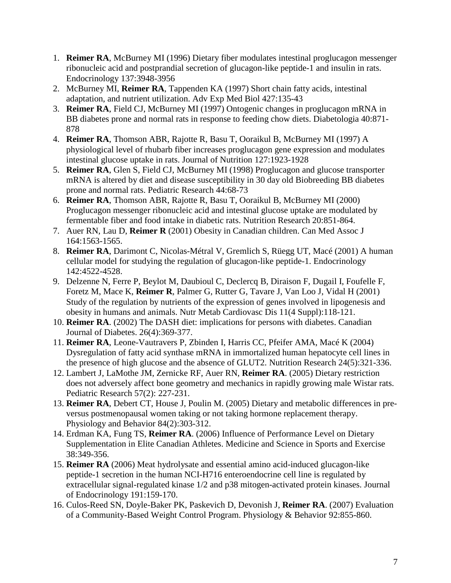- 1. **Reimer RA**, McBurney MI (1996) Dietary fiber modulates intestinal proglucagon messenger ribonucleic acid and postprandial secretion of glucagon-like peptide-1 and insulin in rats. Endocrinology 137:3948-3956
- 2. McBurney MI, **Reimer RA**, Tappenden KA (1997) Short chain fatty acids, intestinal adaptation, and nutrient utilization. Adv Exp Med Biol 427:135-43
- 3. **Reimer RA**, Field CJ, McBurney MI (1997) Ontogenic changes in proglucagon mRNA in BB diabetes prone and normal rats in response to feeding chow diets. Diabetologia 40:871- 878
- 4. **Reimer RA**, Thomson ABR, Rajotte R, Basu T, Ooraikul B, McBurney MI (1997) A physiological level of rhubarb fiber increases proglucagon gene expression and modulates intestinal glucose uptake in rats. Journal of Nutrition 127:1923-1928
- 5. **Reimer RA**, Glen S, Field CJ, McBurney MI (1998) Proglucagon and glucose transporter mRNA is altered by diet and disease susceptibility in 30 day old Biobreeding BB diabetes prone and normal rats. Pediatric Research 44:68-73
- 6. **Reimer RA**, Thomson ABR, Rajotte R, Basu T, Ooraikul B, McBurney MI (2000) Proglucagon messenger ribonucleic acid and intestinal glucose uptake are modulated by fermentable fiber and food intake in diabetic rats. Nutrition Research 20:851-864.
- 7. Auer RN, Lau D, **Reimer R** (2001) Obesity in Canadian children. Can Med Assoc J 164:1563-1565.
- 8. **Reimer RA**, Darimont C, Nicolas-Métral V, Gremlich S, Rüegg UT, Macé (2001) A human cellular model for studying the regulation of glucagon-like peptide-1. Endocrinology 142:4522-4528.
- 9. Delzenne N, Ferre P, Beylot M, Daubioul C, Declercq B, Diraison F, Dugail I, Foufelle F, Foretz M, Mace K, **Reimer R**, Palmer G, Rutter G, Tavare J, Van Loo J, Vidal H (2001) Study of the regulation by nutrients of the expression of genes involved in lipogenesis and obesity in humans and animals. Nutr Metab Cardiovasc Dis 11(4 Suppl):118-121.
- 10. **Reimer RA**. (2002) The DASH diet: implications for persons with diabetes. Canadian Journal of Diabetes. 26(4):369-377.
- 11. **Reimer RA**, Leone-Vautravers P, Zbinden I, Harris CC, Pfeifer AMA, Macé K (2004) Dysregulation of fatty acid synthase mRNA in immortalized human hepatocyte cell lines in the presence of high glucose and the absence of GLUT2. Nutrition Research 24(5):321-336.
- 12. Lambert J, LaMothe JM, Zernicke RF, Auer RN, **Reimer RA**. (2005) Dietary restriction does not adversely affect bone geometry and mechanics in rapidly growing male Wistar rats. Pediatric Research 57(2): 227-231.
- 13. **Reimer RA**, Debert CT, House J, Poulin M. (2005) Dietary and metabolic differences in preversus postmenopausal women taking or not taking hormone replacement therapy. Physiology and Behavior 84(2):303-312.
- 14. Erdman KA, Fung TS, **Reimer RA**. (2006) Influence of Performance Level on Dietary Supplementation in Elite Canadian Athletes. Medicine and Science in Sports and Exercise 38:349-356.
- 15. **Reimer RA** (2006) Meat hydrolysate and essential amino acid-induced glucagon-like peptide-1 secretion in the human NCI-H716 enteroendocrine cell line is regulated by extracellular signal-regulated kinase 1/2 and p38 mitogen-activated protein kinases. Journal of Endocrinology 191:159-170.
- 16. Culos-Reed SN, Doyle-Baker PK, Paskevich D, Devonish J, **Reimer RA**. (2007) Evaluation of a Community-Based Weight Control Program. Physiology & Behavior 92:855-860.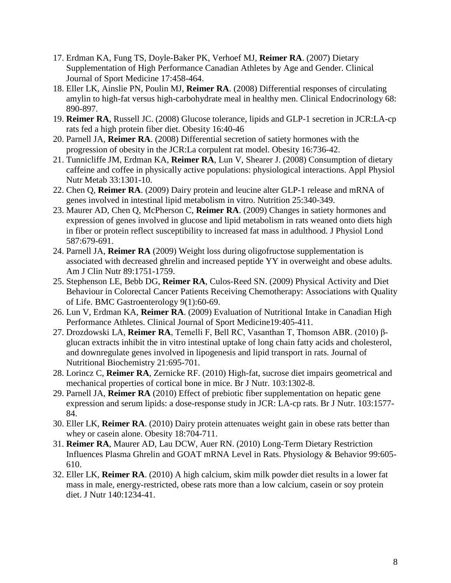- 17. Erdman KA, Fung TS, Doyle-Baker PK, Verhoef MJ, **Reimer RA**. (2007) Dietary Supplementation of High Performance Canadian Athletes by Age and Gender. Clinical Journal of Sport Medicine 17:458-464.
- 18. Eller LK, Ainslie PN, Poulin MJ, **Reimer RA**. (2008) Differential responses of circulating amylin to high-fat versus high-carbohydrate meal in healthy men. Clinical Endocrinology 68: 890-897.
- 19. **Reimer RA**, Russell JC. (2008) Glucose tolerance, lipids and GLP-1 secretion in JCR:LA-cp rats fed a high protein fiber diet. Obesity 16:40-46
- 20. Parnell JA, **Reimer RA**. (2008) Differential secretion of satiety hormones with the progression of obesity in the JCR:La corpulent rat model. Obesity 16:736-42.
- 21. Tunnicliffe JM, Erdman KA, **Reimer RA**, Lun V, Shearer J. (2008) Consumption of dietary caffeine and coffee in physically active populations: physiological interactions. Appl Physiol Nutr Metab 33:1301-10.
- 22. Chen Q, **Reimer RA**. (2009) Dairy protein and leucine alter GLP-1 release and mRNA of genes involved in intestinal lipid metabolism in vitro. Nutrition 25:340-349.
- 23. Maurer AD, Chen Q, McPherson C, **Reimer RA**. (2009) Changes in satiety hormones and expression of genes involved in glucose and lipid metabolism in rats weaned onto diets high in fiber or protein reflect susceptibility to increased fat mass in adulthood. J Physiol Lond 587:679-691.
- 24. Parnell JA, **Reimer RA** (2009) Weight loss during oligofructose supplementation is associated with decreased ghrelin and increased peptide YY in overweight and obese adults. Am J Clin Nutr 89:1751-1759.
- 25. Stephenson LE, Bebb DG, **Reimer RA**, Culos-Reed SN. (2009) Physical Activity and Diet Behaviour in Colorectal Cancer Patients Receiving Chemotherapy: Associations with Quality of Life. BMC Gastroenterology 9(1):60-69.
- 26. Lun V, Erdman KA, **Reimer RA**. (2009) Evaluation of Nutritional Intake in Canadian High Performance Athletes. Clinical Journal of Sport Medicine19:405-411.
- 27. Drozdowski LA, **Reimer RA**, Temelli F, Bell RC, Vasanthan T, Thomson ABR. (2010) βglucan extracts inhibit the in vitro intestinal uptake of long chain fatty acids and cholesterol, and downregulate genes involved in lipogenesis and lipid transport in rats. Journal of Nutritional Biochemistry 21:695-701.
- 28. Lorincz C, **Reimer RA**, Zernicke RF. (2010) High-fat, sucrose diet impairs geometrical and mechanical properties of cortical bone in mice. Br J Nutr. 103:1302-8.
- 29. Parnell JA, **Reimer RA** (2010) Effect of prebiotic fiber supplementation on hepatic gene expression and serum lipids: a dose-response study in JCR: LA-cp rats. Br J Nutr. 103:1577- 84.
- 30. Eller LK, **Reimer RA**. (2010) Dairy protein attenuates weight gain in obese rats better than whey or casein alone. Obesity 18:704-711.
- 31. **Reimer RA**, Maurer AD, Lau DCW, Auer RN. (2010) Long-Term Dietary Restriction Influences Plasma Ghrelin and GOAT mRNA Level in Rats. Physiology & Behavior 99:605- 610.
- 32. Eller LK, **Reimer RA**. (2010) A high calcium, skim milk powder diet results in a lower fat mass in male, energy-restricted, obese rats more than a low calcium, casein or soy protein diet. J Nutr 140:1234-41.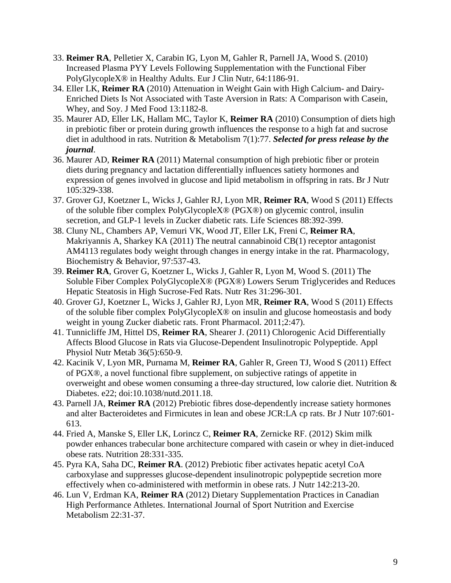- 33. **Reimer RA**, Pelletier X, Carabin IG, Lyon M, Gahler R, Parnell JA, Wood S. (2010) Increased Plasma PYY Levels Following Supplementation with the Functional Fiber PolyGlycopleX® in Healthy Adults. Eur J Clin Nutr, 64:1186-91.
- 34. Eller LK, **Reimer RA** (2010) Attenuation in Weight Gain with High Calcium- and Dairy-Enriched Diets Is Not Associated with Taste Aversion in Rats: A Comparison with Casein, Whey, and Soy. J Med Food 13:1182-8.
- 35. Maurer AD, Eller LK, Hallam MC, Taylor K, **Reimer RA** (2010) Consumption of diets high in prebiotic fiber or protein during growth influences the response to a high fat and sucrose diet in adulthood in rats. Nutrition & Metabolism 7(1):77. *Selected for press release by the journal*.
- 36. Maurer AD, **Reimer RA** (2011) Maternal consumption of high prebiotic fiber or protein diets during pregnancy and lactation differentially influences satiety hormones and expression of genes involved in glucose and lipid metabolism in offspring in rats. Br J Nutr 105:329-338.
- 37. Grover GJ, Koetzner L, Wicks J, Gahler RJ, Lyon MR, **Reimer RA**, Wood S (2011) Effects of the soluble fiber complex PolyGlycopleX® (PGX®) on glycemic control, insulin secretion, and GLP-1 levels in Zucker diabetic rats. Life Sciences 88:392-399.
- 38. Cluny NL, Chambers AP, Vemuri VK, Wood JT, Eller LK, Freni C, **Reimer RA**, Makriyannis A, Sharkey KA (2011) The neutral cannabinoid CB(1) receptor antagonist AM4113 regulates body weight through changes in energy intake in the rat. Pharmacology, Biochemistry & Behavior, 97:537-43.
- 39. **Reimer RA**, Grover G, Koetzner L, Wicks J, Gahler R, Lyon M, Wood S. (2011) The Soluble Fiber Complex PolyGlycopleX® (PGX®) Lowers Serum Triglycerides and Reduces Hepatic Steatosis in High Sucrose-Fed Rats. Nutr Res 31:296-301.
- 40. Grover GJ, Koetzner L, Wicks J, Gahler RJ, Lyon MR, **Reimer RA**, Wood S (2011) Effects of the soluble fiber complex PolyGlycopleX® on insulin and glucose homeostasis and body weight in young Zucker diabetic rats. Front Pharmacol. 2011;2:47).
- 41. Tunnicliffe JM, Hittel DS, **Reimer RA**, Shearer J. (2011) Chlorogenic Acid Differentially Affects Blood Glucose in Rats via Glucose-Dependent Insulinotropic Polypeptide. Appl Physiol Nutr Metab 36(5):650-9.
- 42. Kacinik V, Lyon MR, Purnama M, **Reimer RA**, Gahler R, Green TJ, Wood S (2011) Effect of PGX®, a novel functional fibre supplement, on subjective ratings of appetite in overweight and obese women consuming a three-day structured, low calorie diet. Nutrition & Diabetes. e22; doi:10.1038/nutd.2011.18.
- 43. Parnell JA, **Reimer RA** (2012) Prebiotic fibres dose-dependently increase satiety hormones and alter Bacteroidetes and Firmicutes in lean and obese JCR:LA cp rats. Br J Nutr 107:601- 613.
- 44. Fried A, Manske S, Eller LK, Lorincz C, **Reimer RA**, Zernicke RF. (2012) Skim milk powder enhances trabecular bone architecture compared with casein or whey in diet-induced obese rats. Nutrition 28:331-335.
- 45. Pyra KA, Saha DC, **Reimer RA**. (2012) Prebiotic fiber activates hepatic acetyl CoA carboxylase and suppresses glucose-dependent insulinotropic polypeptide secretion more effectively when co-administered with metformin in obese rats. J Nutr 142:213-20.
- 46. Lun V, Erdman KA, **Reimer RA** (2012) Dietary Supplementation Practices in Canadian High Performance Athletes. International Journal of Sport Nutrition and Exercise Metabolism 22:31-37.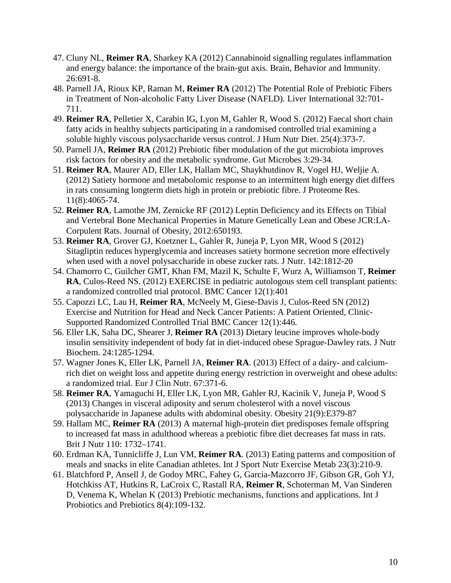- 47. Cluny NL, **Reimer RA**, Sharkey KA (2012) Cannabinoid signalling regulates inflammation and energy balance: the importance of the brain-gut axis. Brain, Behavior and Immunity. 26:691-8.
- 48. Parnell JA, Rioux KP, Raman M, **Reimer RA** (2012) The Potential Role of Prebiotic Fibers in Treatment of Non-alcoholic Fatty Liver Disease (NAFLD). Liver International 32:701- 711.
- 49. **Reimer RA**, Pelletier X, Carabin IG, Lyon M, Gahler R, Wood S. (2012) Faecal short chain fatty acids in healthy subjects participating in a randomised controlled trial examining a soluble highly viscous polysaccharide versus control. J Hum Nutr Diet. 25(4):373-7.
- 50. Parnell JA, **Reimer RA** (2012) Prebiotic fiber modulation of the gut microbiota improves risk factors for obesity and the metabolic syndrome. Gut Microbes 3:29-34.
- 51. **Reimer RA**, Maurer AD, Eller LK, Hallam MC, Shaykhutdinov R, Vogel HJ, Weljie A. (2012) Satiety hormone and metabolomic response to an intermittent high energy diet differs in rats consuming longterm diets high in protein or prebiotic fibre. J Proteome Res. 11(8):4065-74.
- 52. **Reimer RA**, Lamothe JM, Zernicke RF (2012) Leptin Deficiency and its Effects on Tibial and Vertebral Bone Mechanical Properties in Mature Genetically Lean and Obese JCR:LA-Corpulent Rats. Journal of Obesity, 2012:650193.
- 53. **Reimer RA**, Grover GJ, Koetzner L, Gahler R, Juneja P, Lyon MR, Wood S (2012) Sitagliptin reduces hyperglycemia and increases satiety hormone secretion more effectively when used with a novel polysaccharide in obese zucker rats. J Nutr. 142:1812-20
- 54. Chamorro C, Guilcher GMT, Khan FM, Mazil K, Schulte F, Wurz A, Williamson T, **Reimer RA**, Culos-Reed NS. (2012) EXERCISE in pediatric autologous stem cell transplant patients: a randomized controlled trial protocol. BMC Cancer 12(1):401
- 55. Capozzi LC, Lau H, **Reimer RA**, McNeely M, Giese-Davis J, Culos-Reed SN (2012) Exercise and Nutrition for Head and Neck Cancer Patients: A Patient Oriented, Clinic-Supported Randomized Controlled Trial BMC Cancer 12(1):446.
- 56. Eller LK, Saha DC, Shearer J, **Reimer RA** (2013) [Dietary leucine improves whole-body](http://www.ncbi.nlm.nih.gov/pubmed/23332601)  [insulin sensitivity independent of body fat in diet-induced obese Sprague-Dawley rats.](http://www.ncbi.nlm.nih.gov/pubmed/23332601) J Nutr Biochem. 24:1285-1294.
- 57. Wagner Jones K, Eller LK, Parnell JA, **Reimer RA**. (2013) [Effect of a dairy-](http://www.ncbi.nlm.nih.gov/pubmed/23462943) and calcium[rich diet on weight loss and appetite during energy restriction in overweight and obese adults:](http://www.ncbi.nlm.nih.gov/pubmed/23462943)  [a randomized trial.](http://www.ncbi.nlm.nih.gov/pubmed/23462943) Eur J Clin Nutr. 67:371-6.
- 58. **Reimer RA**, Yamaguchi H, Eller LK, Lyon MR, Gahler RJ, Kacinik V, Juneja P, Wood S (2013) [Changes in visceral adiposity and serum cholesterol with a novel viscous](http://www.ncbi.nlm.nih.gov/pubmed/23512917)  [polysaccharide in Japanese adults with abdominal obesity.](http://www.ncbi.nlm.nih.gov/pubmed/23512917) Obesity 21(9):E379-87
- 59. Hallam MC, **Reimer RA** (2013) A maternal high-protein diet predisposes female offspring to increased fat mass in adulthood whereas a prebiotic fibre diet decreases fat mass in rats. Brit J Nutr 110: 1732–1741.
- 60. Erdman KA, Tunnicliffe J, Lun VM, **Reimer RA**. (2013) [Eating patterns and composition of](http://www.ncbi.nlm.nih.gov/pubmed/23114732)  [meals and snacks in elite Canadian athletes.](http://www.ncbi.nlm.nih.gov/pubmed/23114732) Int J Sport Nutr Exercise Metab 23(3):210-9.
- 61. Blatchford P, Ansell J, de Godoy MRC, Fahey G, Garcia-Mazcorro JF, Gibson GR, Goh YJ, Hotchkiss AT, Hutkins R, LaCroix C, Rastall RA, **Reimer R**, Schoterman M, Van Sinderen D, Venema K, Whelan K (2013) Prebiotic mechanisms, functions and applications. Int J Probiotics and Prebiotics 8(4):109-132.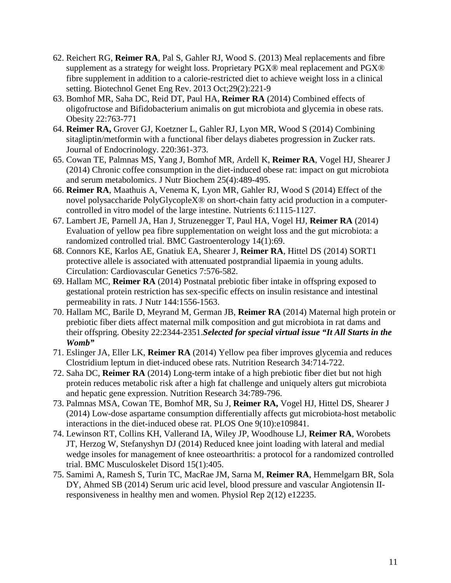- 62. Reichert RG, **Reimer RA**, Pal S, Gahler RJ, Wood S. (2013) Meal replacements and fibre supplement as a strategy for weight loss. Proprietary PGX® meal replacement and PGX® fibre supplement in addition to a calorie-restricted diet to achieve weight loss in a clinical setting. Biotechnol Genet Eng Rev. 2013 Oct;29(2):221-9
- 63. Bomhof MR, Saha DC, Reid DT, Paul HA, **Reimer RA** (2014) Combined effects of oligofructose and Bifidobacterium animalis on gut microbiota and glycemia in obese rats. Obesity 22:763-771
- 64. **Reimer RA,** Grover GJ, Koetzner L, Gahler RJ, Lyon MR, Wood S (2014) [Combining](http://www.ncbi.nlm.nih.gov/pubmed/24389593)  [sitagliptin/metformin with a functional fiber delays diabetes progression in Zucker rats.](http://www.ncbi.nlm.nih.gov/pubmed/24389593) Journal of Endocrinology. 220:361-373.
- 65. Cowan TE, Palmnas MS, Yang J, Bomhof MR, Ardell K, **Reimer RA**, Vogel HJ, Shearer J (2014) Chronic coffee consumption in the diet-induced obese rat: impact on gut microbiota and serum metabolomics. J Nutr Biochem 25(4):489-495.
- 66. **Reimer RA**, Maathuis A, Venema K, Lyon MR, Gahler RJ, Wood S (2014) Effect of the novel polysaccharide PolyGlycopleX® on short-chain fatty acid production in a computercontrolled in vitro model of the large intestine. Nutrients 6:1115-1127.
- 67. Lambert JE, Parnell JA, Han J, Struzenegger T, Paul HA, Vogel HJ, **Reimer RA** (2014) Evaluation of yellow pea fibre supplementation on weight loss and the gut microbiota: a randomized controlled trial. BMC Gastroenterology 14(1):69.
- 68. Connors KE, Karlos AE, Gnatiuk EA, Shearer J, **Reimer RA**, Hittel DS (2014) SORT1 protective allele is associated with attenuated postprandial lipaemia in young adults. Circulation: Cardiovascular Genetics 7:576-582.
- 69. Hallam MC, **Reimer RA** (2014) Postnatal prebiotic fiber intake in offspring exposed to gestational protein restriction has sex-specific effects on insulin resistance and intestinal permeability in rats. J Nutr 144:1556-1563.
- 70. Hallam MC, Barile D, Meyrand M, German JB, **Reimer RA** (2014) Maternal high protein or prebiotic fiber diets affect maternal milk composition and gut microbiota in rat dams and their offspring. Obesity 22:2344-2351.*Selected for special virtual issue "It All Starts in the Womb"*
- 71. Eslinger JA, Eller LK, **Reimer RA** (2014) Yellow pea fiber improves glycemia and reduces Clostridium leptum in diet-induced obese rats. Nutrition Research 34:714-722.
- 72. Saha DC, **Reimer RA** (2014) Long-term intake of a high prebiotic fiber diet but not high protein reduces metabolic risk after a high fat challenge and uniquely alters gut microbiota and hepatic gene expression. Nutrition Research 34:789-796.
- 73. Palmnas MSA, Cowan TE, Bomhof MR, Su J, **Reimer RA,** Vogel HJ, Hittel DS, Shearer J (2014) Low-dose aspartame consumption differentially affects gut microbiota-host metabolic interactions in the diet-induced obese rat. PLOS One 9(10):e109841.
- 74. Lewinson RT, Collins KH, Vallerand IA, Wiley JP, Woodhouse LJ, **Reimer RA**, Worobets JT, Herzog W, Stefanyshyn DJ (2014) Reduced knee joint loading with lateral and medial wedge insoles for management of knee osteoarthritis: a protocol for a randomized controlled trial. BMC Musculoskelet Disord 15(1):405.
- 75. Samimi A, Ramesh S, Turin TC, MacRae JM, Sarna M, **Reimer RA**, Hemmelgarn BR, Sola DY, Ahmed SB (2014) Serum uric acid level, blood pressure and vascular Angiotensin IIresponsiveness in healthy men and women. Physiol Rep 2(12) e12235.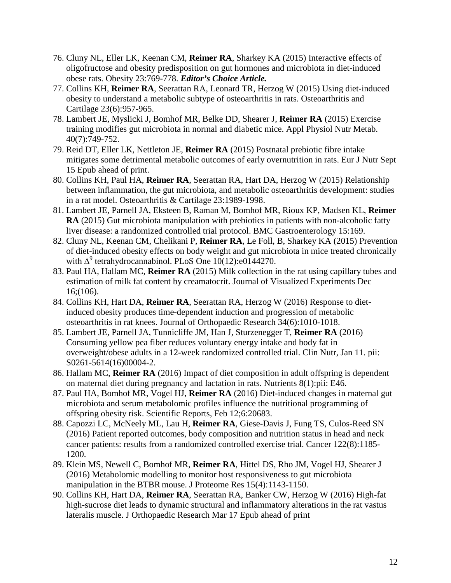- 76. Cluny NL, Eller LK, Keenan CM, **Reimer RA**, Sharkey KA (2015) Interactive effects of oligofructose and obesity predisposition on gut hormones and microbiota in diet-induced obese rats. Obesity 23:769-778. *Editor's Choice Article.*
- 77. Collins KH, **Reimer RA**, Seerattan RA, Leonard TR, Herzog W (2015) Using diet-induced obesity to understand a metabolic subtype of osteoarthritis in rats. Osteoarthritis and Cartilage 23(6):957-965.
- 78. Lambert JE, Myslicki J, Bomhof MR, Belke DD, Shearer J, **Reimer RA** (2015) Exercise training modifies gut microbiota in normal and diabetic mice. Appl Physiol Nutr Metab. 40(7):749-752.
- 79. Reid DT, Eller LK, Nettleton JE, **Reimer RA** (2015) Postnatal prebiotic fibre intake mitigates some detrimental metabolic outcomes of early overnutrition in rats. Eur J Nutr Sept 15 Epub ahead of print.
- 80. Collins KH, Paul HA, **Reimer RA**, Seerattan RA, Hart DA, Herzog W (2015) Relationship between inflammation, the gut microbiota, and metabolic osteoarthritis development: studies in a rat model. Osteoarthritis & Cartilage 23:1989-1998.
- 81. Lambert JE, Parnell JA, Eksteen B, Raman M, Bomhof MR, Rioux KP, Madsen KL, **Reimer RA** (2015) Gut microbiota manipulation with prebiotics in patients with non-alcoholic fatty liver disease: a randomized controlled trial protocol. BMC Gastroenterology 15:169.
- 82. Cluny NL, Keenan CM, Chelikani P, **Reimer RA**, Le Foll, B, Sharkey KA (2015) Prevention of diet-induced obesity effects on body weight and gut microbiota in mice treated chronically with  $\Delta^9$  tetrahydrocannabinol. PLoS One 10(12):e0144270.
- 83. Paul HA, Hallam MC, **Reimer RA** (2015) Milk collection in the rat using capillary tubes and estimation of milk fat content by creamatocrit. Journal of Visualized Experiments Dec 16;(106).
- 84. Collins KH, Hart DA, **Reimer RA**, Seerattan RA, Herzog W (2016) Response to dietinduced obesity produces time-dependent induction and progression of metabolic osteoarthritis in rat knees. Journal of Orthopaedic Research 34(6):1010-1018.
- 85. Lambert JE, Parnell JA, Tunnicliffe JM, Han J, Sturzenegger T, **Reimer RA** (2016) Consuming yellow pea fiber reduces voluntary energy intake and body fat in overweight/obese adults in a 12-week randomized controlled trial. Clin Nutr, Jan 11. pii: S0261-5614(16)00004-2.
- 86. Hallam MC, **Reimer RA** (2016) Impact of diet composition in adult offspring is dependent on maternal diet during pregnancy and lactation in rats. Nutrients 8(1):pii: E46.
- 87. Paul HA, Bomhof MR, Vogel HJ, **Reimer RA** (2016) Diet-induced changes in maternal gut microbiota and serum metabolomic profiles influence the nutritional programming of offspring obesity risk. Scientific Reports, Feb 12;6:20683.
- 88. Capozzi LC, McNeely ML, Lau H, **Reimer RA**, Giese-Davis J, Fung TS, Culos-Reed SN (2016) Patient reported outcomes, body composition and nutrition status in head and neck cancer patients: results from a randomized controlled exercise trial. Cancer 122(8):1185- 1200.
- 89. Klein MS, Newell C, Bomhof MR, **Reimer RA**, Hittel DS, Rho JM, Vogel HJ, Shearer J (2016) Metabolomic modelling to monitor host responsiveness to gut microbiota manipulation in the BTBR mouse. J Proteome Res 15(4):1143-1150.
- 90. Collins KH, Hart DA, **Reimer RA**, Seerattan RA, Banker CW, Herzog W (2016) High-fat high-sucrose diet leads to dynamic structural and inflammatory alterations in the rat vastus lateralis muscle. J Orthopaedic Research Mar 17 Epub ahead of print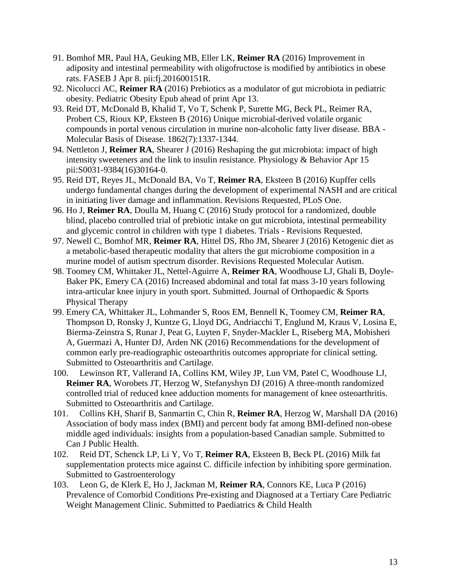- 91. Bomhof MR, Paul HA, Geuking MB, Eller LK, **Reimer RA** (2016) Improvement in adiposity and intestinal permeability with oligofructose is modified by antibiotics in obese rats. FASEB J Apr 8. pii:fj.201600151R.
- 92. Nicolucci AC, **Reimer RA** (2016) Prebiotics as a modulator of gut microbiota in pediatric obesity. Pediatric Obesity Epub ahead of print Apr 13.
- 93. Reid DT, McDonald B, Khalid T, Vo T, Schenk P, Surette MG, Beck PL, Reimer RA, Probert CS, Rioux KP, Eksteen B (2016) Unique microbial-derived volatile organic compounds in portal venous circulation in murine non-alcoholic fatty liver disease. BBA - Molecular Basis of Disease. 1862(7):1337-1344.
- 94. Nettleton J, **Reimer RA**, Shearer J (2016) Reshaping the gut microbiota: impact of high intensity sweeteners and the link to insulin resistance. Physiology & Behavior Apr 15 pii:S0031-9384(16)30164-0.
- 95. Reid DT, Reyes JL, McDonald BA, Vo T, **Reimer RA**, Eksteen B (2016) Kupffer cells undergo fundamental changes during the development of experimental NASH and are critical in initiating liver damage and inflammation. Revisions Requested, PLoS One.
- 96. Ho J, **Reimer RA**, Doulla M, Huang C (2016) Study protocol for a randomized, double blind, placebo controlled trial of prebiotic intake on gut microbiota, intestinal permeability and glycemic control in children with type 1 diabetes. Trials - Revisions Requested.
- 97. Newell C, Bomhof MR, **Reimer RA**, Hittel DS, Rho JM, Shearer J (2016) Ketogenic diet as a metabolic-based therapeutic modality that alters the gut microbiome composition in a murine model of autism spectrum disorder. Revisions Requested Molecular Autism.
- 98. Toomey CM, Whittaker JL, Nettel-Aguirre A, **Reimer RA**, Woodhouse LJ, Ghali B, Doyle-Baker PK, Emery CA (2016) Increased abdominal and total fat mass 3-10 years following intra-articular knee injury in youth sport. Submitted. Journal of Orthopaedic & Sports Physical Therapy
- 99. Emery CA, Whittaker JL, Lohmander S, Roos EM, Bennell K, Toomey CM, **Reimer RA**, Thompson D, Ronsky J, Kuntze G, Lloyd DG, Andriacchi T, Englund M, Kraus V, Losina E, Bierma-Zeinstra S, Runar J, Peat G, Luyten F, Snyder-Mackler L, Riseberg MA, Mobisheri A, Guermazi A, Hunter DJ, Arden NK (2016) Recommendations for the development of common early pre-readiographic osteoarthritis outcomes appropriate for clinical setting. Submitted to Osteoarthritis and Cartilage.
- 100. Lewinson RT, Vallerand IA, Collins KM, Wiley JP, Lun VM, Patel C, Woodhouse LJ, **Reimer RA**, Worobets JT, Herzog W, Stefanyshyn DJ (2016) A three-month randomized controlled trial of reduced knee adduction moments for management of knee osteoarthritis. Submitted to Osteoarthritis and Cartilage.
- 101. Collins KH, Sharif B, Sanmartin C, Chin R, **Reimer RA**, Herzog W, Marshall DA (2016) Association of body mass index (BMI) and percent body fat among BMI-defined non-obese middle aged individuals: insights from a population-based Canadian sample. Submitted to Can J Public Health.
- 102. Reid DT, Schenck LP, Li Y, Vo T, **Reimer RA**, Eksteen B, Beck PL (2016) Milk fat supplementation protects mice against C. difficile infection by inhibiting spore germination. Submitted to Gastroenterology
- 103. Leon G, de Klerk E, Ho J, Jackman M, **Reimer RA**, Connors KE, Luca P (2016) Prevalence of Comorbid Conditions Pre-existing and Diagnosed at a Tertiary Care Pediatric Weight Management Clinic. Submitted to Paediatrics & Child Health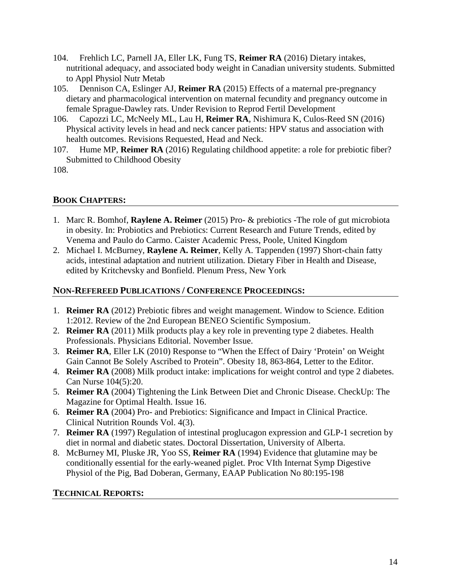- 104. Frehlich LC, Parnell JA, Eller LK, Fung TS, **Reimer RA** (2016) Dietary intakes, nutritional adequacy, and associated body weight in Canadian university students. Submitted to Appl Physiol Nutr Metab
- 105. Dennison CA, Eslinger AJ, **Reimer RA** (2015) Effects of a maternal pre-pregnancy dietary and pharmacological intervention on maternal fecundity and pregnancy outcome in female Sprague-Dawley rats. Under Revision to Reprod Fertil Development
- 106. Capozzi LC, McNeely ML, Lau H, **Reimer RA**, Nishimura K, Culos-Reed SN (2016) Physical activity levels in head and neck cancer patients: HPV status and association with health outcomes. Revisions Requested, Head and Neck.
- 107. Hume MP, **Reimer RA** (2016) Regulating childhood appetite: a role for prebiotic fiber? Submitted to Childhood Obesity

108.

# **BOOK CHAPTERS:**

- 1. Marc R. Bomhof, **Raylene A. Reimer** (2015) Pro- & prebiotics -The role of gut microbiota in obesity. In: Probiotics and Prebiotics: Current Research and Future Trends, edited by Venema and Paulo do Carmo. Caister Academic Press, Poole, United Kingdom
- 2. Michael I. McBurney, **Raylene A. Reimer**, Kelly A. Tappenden (1997) Short-chain fatty acids, intestinal adaptation and nutrient utilization. Dietary Fiber in Health and Disease, edited by Kritchevsky and Bonfield. Plenum Press, New York

## **NON-REFEREED PUBLICATIONS / CONFERENCE PROCEEDINGS:**

- 1. **Reimer RA** (2012) Prebiotic fibres and weight management. Window to Science. Edition 1:2012. Review of the 2nd European BENEO Scientific Symposium.
- 2. **Reimer RA** (2011) Milk products play a key role in preventing type 2 diabetes. Health Professionals. Physicians Editorial. November Issue.
- 3. **Reimer RA**, Eller LK (2010) Response to "When the Effect of Dairy 'Protein' on Weight Gain Cannot Be Solely Ascribed to Protein". Obesity 18, 863-864, Letter to the Editor.
- 4. **Reimer RA** (2008) Milk product intake: implications for weight control and type 2 diabetes. Can Nurse 104(5):20.
- 5. **Reimer RA** (2004) Tightening the Link Between Diet and Chronic Disease. CheckUp: The Magazine for Optimal Health. Issue 16.
- 6. **Reimer RA** (2004) Pro- and Prebiotics: Significance and Impact in Clinical Practice. Clinical Nutrition Rounds Vol. 4(3).
- 7. **Reimer RA** (1997) Regulation of intestinal proglucagon expression and GLP-1 secretion by diet in normal and diabetic states. Doctoral Dissertation, University of Alberta.
- 8. McBurney MI, Pluske JR, Yoo SS, **Reimer RA** (1994) Evidence that glutamine may be conditionally essential for the early-weaned piglet. Proc VIth Internat Symp Digestive Physiol of the Pig, Bad Doberan, Germany, EAAP Publication No 80:195-198

### **TECHNICAL REPORTS:**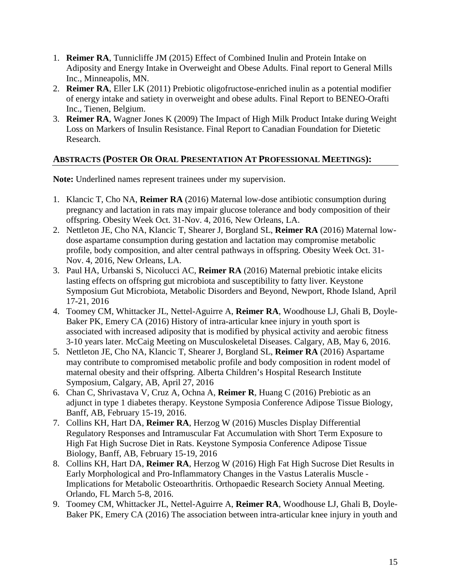- 1. **Reimer RA**, Tunnicliffe JM (2015) Effect of Combined Inulin and Protein Intake on Adiposity and Energy Intake in Overweight and Obese Adults. Final report to General Mills Inc., Minneapolis, MN.
- 2. **Reimer RA**, Eller LK (2011) Prebiotic oligofructose-enriched inulin as a potential modifier of energy intake and satiety in overweight and obese adults. Final Report to BENEO-Orafti Inc., Tienen, Belgium.
- 3. **Reimer RA**, Wagner Jones K (2009) The Impact of High Milk Product Intake during Weight Loss on Markers of Insulin Resistance. Final Report to Canadian Foundation for Dietetic Research.

# **ABSTRACTS (POSTER OR ORAL PRESENTATION AT PROFESSIONAL MEETINGS):**

**Note:** Underlined names represent trainees under my supervision.

- 1. Klancic T, Cho NA, **Reimer RA** (2016) Maternal low-dose antibiotic consumption during pregnancy and lactation in rats may impair glucose tolerance and body composition of their offspring. Obesity Week Oct. 31-Nov. 4, 2016, New Orleans, LA.
- 2. Nettleton JE, Cho NA, Klancic T, Shearer J, Borgland SL, **Reimer RA** (2016) Maternal lowdose aspartame consumption during gestation and lactation may compromise metabolic profile, body composition, and alter central pathways in offspring. Obesity Week Oct. 31- Nov. 4, 2016, New Orleans, LA.
- 3. Paul HA, Urbanski S, Nicolucci AC, **Reimer RA** (2016) Maternal prebiotic intake elicits lasting effects on offspring gut microbiota and susceptibility to fatty liver. Keystone Symposium Gut Microbiota, Metabolic Disorders and Beyond, Newport, Rhode Island, April 17-21, 2016
- 4. Toomey CM, Whittacker JL, Nettel-Aguirre A, **Reimer RA**, Woodhouse LJ, Ghali B, Doyle-Baker PK, Emery CA (2016) History of intra-articular knee injury in youth sport is associated with increased adiposity that is modified by physical activity and aerobic fitness 3-10 years later. McCaig Meeting on Musculoskeletal Diseases. Calgary, AB, May 6, 2016.
- 5. Nettleton JE, Cho NA, Klancic T, Shearer J, Borgland SL, **Reimer RA** (2016) Aspartame may contribute to compromised metabolic profile and body composition in rodent model of maternal obesity and their offspring. Alberta Children's Hospital Research Institute Symposium, Calgary, AB, April 27, 2016
- 6. Chan C, Shrivastava V, Cruz A, Ochna A, **Reimer R**, Huang C (2016) Prebiotic as an adjunct in type 1 diabetes therapy. Keystone Symposia Conference Adipose Tissue Biology, Banff, AB, February 15-19, 2016.
- 7. Collins KH, Hart DA, **Reimer RA**, Herzog W (2016) Muscles Display Differential Regulatory Responses and Intramuscular Fat Accumulation with Short Term Exposure to High Fat High Sucrose Diet in Rats. Keystone Symposia Conference Adipose Tissue Biology, Banff, AB, February 15-19, 2016
- 8. Collins KH, Hart DA, **Reimer RA**, Herzog W (2016) High Fat High Sucrose Diet Results in Early Morphological and Pro-Inflammatory Changes in the Vastus Lateralis Muscle - Implications for Metabolic Osteoarthritis. Orthopaedic Research Society Annual Meeting. Orlando, FL March 5-8, 2016.
- 9. Toomey CM, Whittacker JL, Nettel-Aguirre A, **Reimer RA**, Woodhouse LJ, Ghali B, Doyle-Baker PK, Emery CA (2016) The association between intra-articular knee injury in youth and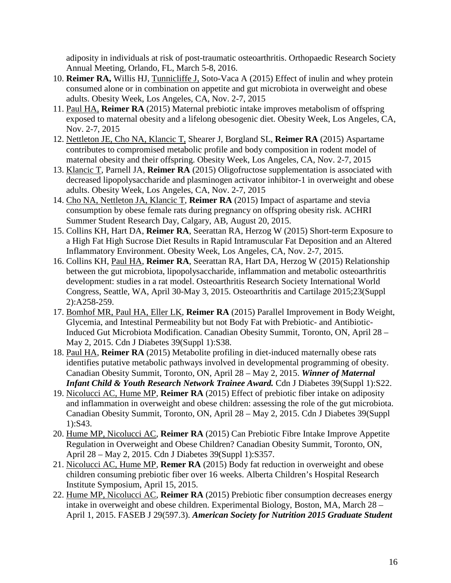adiposity in individuals at risk of post-traumatic osteoarthritis. Orthopaedic Research Society Annual Meeting, Orlando, FL, March 5-8, 2016.

- 10. **Reimer RA,** Willis HJ, Tunnicliffe J, Soto-Vaca A (2015) Effect of inulin and whey protein consumed alone or in combination on appetite and gut microbiota in overweight and obese adults. Obesity Week, Los Angeles, CA, Nov. 2-7, 2015
- 11. Paul HA, **Reimer RA** (2015) Maternal prebiotic intake improves metabolism of offspring exposed to maternal obesity and a lifelong obesogenic diet. Obesity Week, Los Angeles, CA, Nov. 2-7, 2015
- 12. Nettleton JE, Cho NA, Klancic T, Shearer J, Borgland SL, **Reimer RA** (2015) Aspartame contributes to compromised metabolic profile and body composition in rodent model of maternal obesity and their offspring. Obesity Week, Los Angeles, CA, Nov. 2-7, 2015
- 13. Klancic T, Parnell JA, **Reimer RA** (2015) Oligofructose supplementation is associated with decreased lipopolysaccharide and plasminogen activator inhibitor-1 in overweight and obese adults. Obesity Week, Los Angeles, CA, Nov. 2-7, 2015
- 14. Cho NA, Nettleton JA, Klancic T, **Reimer RA** (2015) Impact of aspartame and stevia consumption by obese female rats during pregnancy on offspring obesity risk. ACHRI Summer Student Research Day, Calgary, AB, August 20, 2015.
- 15. Collins KH, Hart DA, **Reimer RA**, Seerattan RA, Herzog W (2015) Short-term Exposure to a High Fat High Sucrose Diet Results in Rapid Intramuscular Fat Deposition and an Altered Inflammatory Environment. Obesity Week, Los Angeles, CA, Nov. 2-7, 2015.
- 16. Collins KH, Paul HA, **Reimer RA**, Seerattan RA, Hart DA, Herzog W (2015) Relationship between the gut microbiota, lipopolysaccharide, inflammation and metabolic osteoarthritis development: studies in a rat model. Osteoarthritis Research Society International World Congress, Seattle, WA, April 30-May 3, 2015. Osteoarthritis and Cartilage 2015;23(Suppl 2):A258-259.
- 17. Bomhof MR, Paul HA, Eller LK, **Reimer RA** (2015) Parallel Improvement in Body Weight, Glycemia, and Intestinal Permeability but not Body Fat with Prebiotic- and Antibiotic-Induced Gut Microbiota Modification. Canadian Obesity Summit, Toronto, ON, April 28 – May 2, 2015. Cdn J Diabetes 39(Suppl 1):S38.
- 18. Paul HA, **Reimer RA** (2015) Metabolite profiling in diet-induced maternally obese rats identifies putative metabolic pathways involved in developmental programming of obesity. Canadian Obesity Summit, Toronto, ON, April 28 – May 2, 2015. *Winner of Maternal Infant Child & Youth Research Network Trainee Award.* Cdn J Diabetes 39(Suppl 1):S22.
- 19. Nicolucci AC, Hume MP, **Reimer RA** (2015) Effect of prebiotic fiber intake on adiposity and inflammation in overweight and obese children: assessing the role of the gut microbiota. Canadian Obesity Summit, Toronto, ON, April 28 – May 2, 2015. Cdn J Diabetes 39(Suppl 1):S43.
- 20. Hume MP, Nicolucci AC, **Reimer RA** (2015) Can Prebiotic Fibre Intake Improve Appetite Regulation in Overweight and Obese Children? Canadian Obesity Summit, Toronto, ON, April 28 – May 2, 2015. Cdn J Diabetes 39(Suppl 1):S357.
- 21. Nicolucci AC, Hume MP, **Remer RA** (2015) Body fat reduction in overweight and obese children consuming prebiotic fiber over 16 weeks. Alberta Children's Hospital Research Institute Symposium, April 15, 2015.
- 22. Hume MP, Nicolucci AC, **Reimer RA** (2015) Prebiotic fiber consumption decreases energy intake in overweight and obese children. Experimental Biology, Boston, MA, March 28 – April 1, 2015. FASEB J 29(597.3). *American Society for Nutrition 2015 Graduate Student*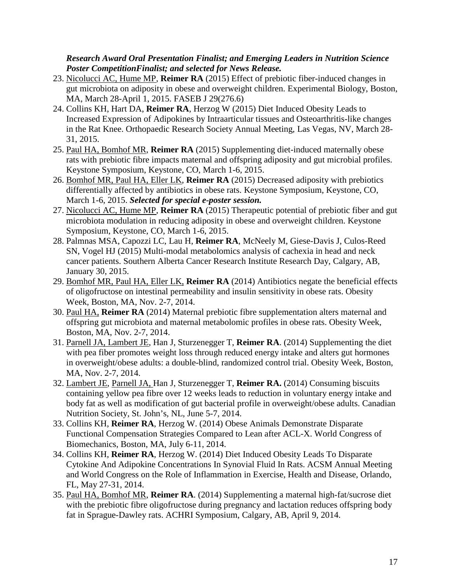#### *Research Award Oral Presentation Finalist; and Emerging Leaders in Nutrition Science Poster CompetitionFinalist; and selected for News Release.*

- 23. Nicolucci AC, Hume MP, **Reimer RA** (2015) Effect of prebiotic fiber-induced changes in gut microbiota on adiposity in obese and overweight children. Experimental Biology, Boston, MA, March 28-April 1, 2015. FASEB J 29(276.6)
- 24. Collins KH, Hart DA, **Reimer RA**, Herzog W (2015) Diet Induced Obesity Leads to Increased Expression of Adipokines by Intraarticular tissues and Osteoarthritis-like changes in the Rat Knee. Orthopaedic Research Society Annual Meeting, Las Vegas, NV, March 28- 31, 2015.
- 25. Paul HA, Bomhof MR, **Reimer RA** (2015) Supplementing diet-induced maternally obese rats with prebiotic fibre impacts maternal and offspring adiposity and gut microbial profiles. Keystone Symposium, Keystone, CO, March 1-6, 2015.
- 26. Bomhof MR, Paul HA, Eller LK, **Reimer RA** (2015) Decreased adiposity with prebiotics differentially affected by antibiotics in obese rats. Keystone Symposium, Keystone, CO, March 1-6, 2015. *Selected for special e-poster session.*
- 27. Nicolucci AC, Hume MP, **Reimer RA** (2015) Therapeutic potential of prebiotic fiber and gut microbiota modulation in reducing adiposity in obese and overweight children. Keystone Symposium, Keystone, CO, March 1-6, 2015.
- 28. Palmnas MSA, Capozzi LC, Lau H, **Reimer RA**, McNeely M, Giese-Davis J, Culos-Reed SN, Vogel HJ (2015) Multi-modal metabolomics analysis of cachexia in head and neck cancer patients. Southern Alberta Cancer Research Institute Research Day, Calgary, AB, January 30, 2015.
- 29. Bomhof MR, Paul HA, Eller LK, **Reimer RA** (2014) Antibiotics negate the beneficial effects of oligofructose on intestinal permeability and insulin sensitivity in obese rats. Obesity Week, Boston, MA, Nov. 2-7, 2014.
- 30. Paul HA, **Reimer RA** (2014) Maternal prebiotic fibre supplementation alters maternal and offspring gut microbiota and maternal metabolomic profiles in obese rats. Obesity Week, Boston, MA, Nov. 2-7, 2014.
- 31. Parnell JA, Lambert JE, Han J, Sturzenegger T, **Reimer RA**. (2014) Supplementing the diet with pea fiber promotes weight loss through reduced energy intake and alters gut hormones in overweight/obese adults: a double-blind, randomized control trial. Obesity Week, Boston, MA, Nov. 2-7, 2014.
- 32. Lambert JE, Parnell JA, Han J, Sturzenegger T, **Reimer RA.** (2014) Consuming biscuits containing yellow pea fibre over 12 weeks leads to reduction in voluntary energy intake and body fat as well as modification of gut bacterial profile in overweight/obese adults. Canadian Nutrition Society, St. John's, NL, June 5-7, 2014.
- 33. Collins KH, **Reimer RA**, Herzog W. (2014) Obese Animals Demonstrate Disparate Functional Compensation Strategies Compared to Lean after ACL-X. World Congress of Biomechanics, Boston, MA, July 6-11, 2014.
- 34. Collins KH, **Reimer RA**, Herzog W. (2014) Diet Induced Obesity Leads To Disparate Cytokine And Adipokine Concentrations In Synovial Fluid In Rats. ACSM Annual Meeting and World Congress on the Role of Inflammation in Exercise, Health and Disease, Orlando, FL, May 27-31, 2014.
- 35. Paul HA, Bomhof MR, **Reimer RA**. (2014) Supplementing a maternal high-fat/sucrose diet with the prebiotic fibre oligofructose during pregnancy and lactation reduces offspring body fat in Sprague-Dawley rats. ACHRI Symposium, Calgary, AB, April 9, 2014.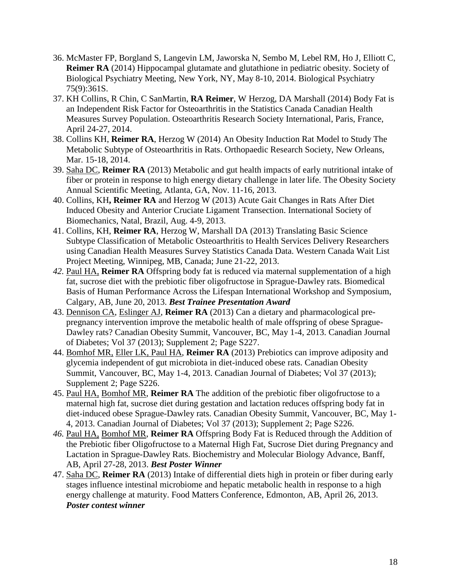- 36. McMaster FP, Borgland S, Langevin LM, Jaworska N, Sembo M, Lebel RM, Ho J, Elliott C, **Reimer RA** (2014) Hippocampal glutamate and glutathione in pediatric obesity. Society of Biological Psychiatry Meeting, New York, NY, May 8-10, 2014. Biological Psychiatry 75(9):361S.
- 37. KH Collins, R Chin, C SanMartin, **RA Reimer**, W Herzog, DA Marshall (2014) Body Fat is an Independent Risk Factor for Osteoarthritis in the Statistics Canada Canadian Health Measures Survey Population. Osteoarthritis Research Society International, Paris, France, April 24-27, 2014.
- 38. Collins KH, **Reimer RA**, Herzog W (2014) An Obesity Induction Rat Model to Study The Metabolic Subtype of Osteoarthritis in Rats. Orthopaedic Research Society, New Orleans, Mar. 15-18, 2014.
- 39. Saha DC, **Reimer RA** (2013) Metabolic and gut health impacts of early nutritional intake of fiber or protein in response to high energy dietary challenge in later life. The Obesity Society Annual Scientific Meeting, Atlanta, GA, Nov. 11-16, 2013.
- 40. Collins, KH**, Reimer RA** and Herzog W (2013) Acute Gait Changes in Rats After Diet Induced Obesity and Anterior Cruciate Ligament Transection. International Society of Biomechanics, Natal, Brazil, Aug. 4-9, 2013.
- 41. Collins, KH, **Reimer RA**, Herzog W, Marshall DA (2013) Translating Basic Science Subtype Classification of Metabolic Osteoarthritis to Health Services Delivery Researchers using Canadian Health Measures Survey Statistics Canada Data. Western Canada Wait List Project Meeting, Winnipeg, MB, Canada; June 21-22, 2013.
- *42.* Paul HA, **Reimer RA** Offspring body fat is reduced via maternal supplementation of a high fat, sucrose diet with the prebiotic fiber oligofructose in Sprague-Dawley rats. Biomedical Basis of Human Performance Across the Lifespan International Workshop and Symposium, Calgary, AB, June 20, 2013. *Best Trainee Presentation Award*
- 43. Dennison CA, Eslinger AJ, **Reimer RA** (2013) Can a dietary and pharmacological prepregnancy intervention improve the metabolic health of male offspring of obese Sprague-Dawley rats? Canadian Obesity Summit, Vancouver, BC, May 1-4, 2013. Canadian Journal of Diabetes; Vol 37 (2013); Supplement 2; Page S227.
- 44. Bomhof MR, Eller LK, Paul HA, **Reimer RA** (2013) Prebiotics can improve adiposity and glycemia independent of gut microbiota in diet-induced obese rats. Canadian Obesity Summit, Vancouver, BC, May 1-4, 2013. Canadian Journal of Diabetes; Vol 37 (2013); Supplement 2; Page S226.
- 45. Paul HA, Bomhof MR, **Reimer RA** The addition of the prebiotic fiber oligofructose to a maternal high fat, sucrose diet during gestation and lactation reduces offspring body fat in diet-induced obese Sprague-Dawley rats. Canadian Obesity Summit, Vancouver, BC, May 1- 4, 2013. Canadian Journal of Diabetes; Vol 37 (2013); Supplement 2; Page S226.
- *46.* Paul HA, Bomhof MR, **Reimer RA** Offspring Body Fat is Reduced through the Addition of the Prebiotic fiber Oligofructose to a Maternal High Fat, Sucrose Diet during Pregnancy and Lactation in Sprague-Dawley Rats. Biochemistry and Molecular Biology Advance, Banff, AB, April 27-28, 2013. *Best Poster Winner*
- 47. Saha DC, **Reimer RA** (2013) Intake of differential diets high in protein or fiber during early stages influence intestinal microbiome and hepatic metabolic health in response to a high energy challenge at maturity. Food Matters Conference, Edmonton, AB, April 26, 2013. *Poster contest winner*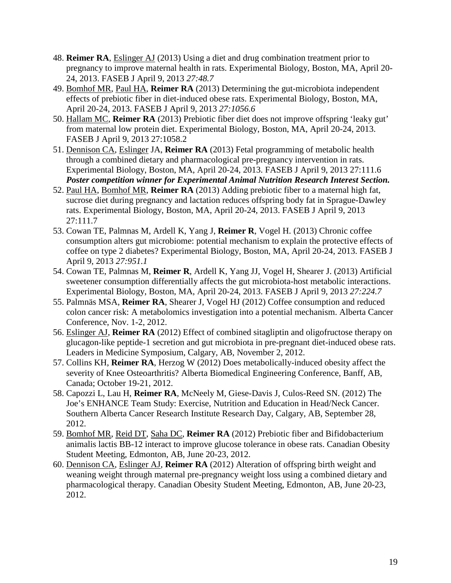- 48. **Reimer RA**, Eslinger AJ (2013) Using a diet and drug combination treatment prior to pregnancy to improve maternal health in rats. Experimental Biology, Boston, MA, April 20- 24, 2013. FASEB J April 9, 2013 *27:48.7*
- 49. Bomhof MR, Paul HA, **Reimer RA** (2013) Determining the gut-microbiota independent effects of prebiotic fiber in diet-induced obese rats. Experimental Biology, Boston, MA, April 20-24, 2013. FASEB J April 9, 2013 *27:1056.6*
- 50. Hallam MC, **Reimer RA** (2013) Prebiotic fiber diet does not improve offspring 'leaky gut' from maternal low protein diet. Experimental Biology, Boston, MA, April 20-24, 2013. FASEB J April 9, 2013 27:1058.2
- 51. Dennison CA, Eslinger JA, **Reimer RA** (2013) Fetal programming of metabolic health through a combined dietary and pharmacological pre-pregnancy intervention in rats. Experimental Biology, Boston, MA, April 20-24, 2013. FASEB J April 9, 2013 27:111.6 *Poster competition winner for Experimental Animal Nutrition Research Interest Section.*
- 52. Paul HA, Bomhof MR, **Reimer RA** (2013) Adding prebiotic fiber to a maternal high fat, sucrose diet during pregnancy and lactation reduces offspring body fat in Sprague-Dawley rats. Experimental Biology, Boston, MA, April 20-24, 2013. FASEB J April 9, 2013 27:111.7
- 53. Cowan TE, Palmnas M, Ardell K, Yang J, **Reimer R**, Vogel H. (2013) Chronic coffee consumption alters gut microbiome: potential mechanism to explain the protective effects of coffee on type 2 diabetes? Experimental Biology, Boston, MA, April 20-24, 2013. FASEB J April 9, 2013 *27:951.1*
- 54. Cowan TE, Palmnas M, **Reimer R**, Ardell K, Yang JJ, Vogel H, Shearer J. (2013) Artificial sweetener consumption differentially affects the gut microbiota-host metabolic interactions. Experimental Biology, Boston, MA, April 20-24, 2013. FASEB J April 9, 2013 *27:224.7*
- 55. Palmnäs MSA, **Reimer RA**, Shearer J, Vogel HJ (2012) Coffee consumption and reduced colon cancer risk: A metabolomics investigation into a potential mechanism. Alberta Cancer Conference, Nov. 1-2, 2012.
- 56. Eslinger AJ, **Reimer RA** (2012) Effect of combined sitagliptin and oligofructose therapy on glucagon-like peptide-1 secretion and gut microbiota in pre-pregnant diet-induced obese rats. Leaders in Medicine Symposium, Calgary, AB, November 2, 2012.
- 57. Collins KH, **Reimer RA**, Herzog W (2012) Does metabolically-induced obesity affect the severity of Knee Osteoarthritis? Alberta Biomedical Engineering Conference, Banff, AB, Canada; October 19-21, 2012.
- 58. Capozzi L, Lau H, **Reimer RA**, McNeely M, Giese-Davis J, Culos-Reed SN. (2012) The Joe's ENHANCE Team Study: Exercise, Nutrition and Education in Head/Neck Cancer. Southern Alberta Cancer Research Institute Research Day, Calgary, AB, September 28, 2012.
- 59. Bomhof MR, Reid DT, Saha DC, **Reimer RA** (2012) Prebiotic fiber and Bifidobacterium animalis lactis BB-12 interact to improve glucose tolerance in obese rats. Canadian Obesity Student Meeting, Edmonton, AB, June 20-23, 2012.
- 60. Dennison CA, Eslinger AJ, **Reimer RA** (2012) Alteration of offspring birth weight and weaning weight through maternal pre-pregnancy weight loss using a combined dietary and pharmacological therapy. Canadian Obesity Student Meeting, Edmonton, AB, June 20-23, 2012.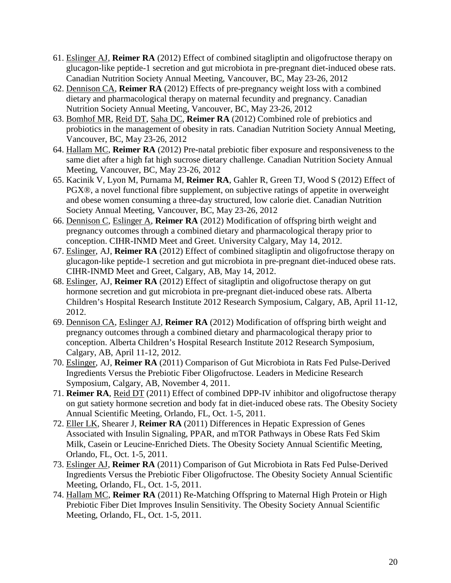- 61. Eslinger AJ, **Reimer RA** (2012) Effect of combined sitagliptin and oligofructose therapy on glucagon-like peptide-1 secretion and gut microbiota in pre-pregnant diet-induced obese rats. Canadian Nutrition Society Annual Meeting, Vancouver, BC, May 23-26, 2012
- 62. Dennison CA, **Reimer RA** (2012) Effects of pre-pregnancy weight loss with a combined dietary and pharmacological therapy on maternal fecundity and pregnancy. Canadian Nutrition Society Annual Meeting, Vancouver, BC, May 23-26, 2012
- 63. Bomhof MR, Reid DT, Saha DC, **Reimer RA** (2012) Combined role of prebiotics and probiotics in the management of obesity in rats. Canadian Nutrition Society Annual Meeting, Vancouver, BC, May 23-26, 2012
- 64. Hallam MC, **Reimer RA** (2012) Pre-natal prebiotic fiber exposure and responsiveness to the same diet after a high fat high sucrose dietary challenge. Canadian Nutrition Society Annual Meeting, Vancouver, BC, May 23-26, 2012
- 65. Kacinik V, Lyon M, Purnama M, **Reimer RA**, Gahler R, Green TJ, Wood S (2012) Effect of PGX®, a novel functional fibre supplement, on subjective ratings of appetite in overweight and obese women consuming a three-day structured, low calorie diet. Canadian Nutrition Society Annual Meeting, Vancouver, BC, May 23-26, 2012
- 66. Dennison C, Eslinger A, **Reimer RA** (2012) Modification of offspring birth weight and pregnancy outcomes through a combined dietary and pharmacological therapy prior to conception. CIHR-INMD Meet and Greet. University Calgary, May 14, 2012.
- 67. Eslinger, AJ, **Reimer RA** (2012) Effect of combined sitagliptin and oligofructose therapy on glucagon-like peptide-1 secretion and gut microbiota in pre-pregnant diet-induced obese rats. CIHR-INMD Meet and Greet, Calgary, AB, May 14, 2012.
- 68. Eslinger, AJ, **Reimer RA** (2012) Effect of sitagliptin and oligofructose therapy on gut hormone secretion and gut microbiota in pre-pregnant diet-induced obese rats. Alberta Children's Hospital Research Institute 2012 Research Symposium, Calgary, AB, April 11-12, 2012.
- 69. Dennison CA, Eslinger AJ, **Reimer RA** (2012) Modification of offspring birth weight and pregnancy outcomes through a combined dietary and pharmacological therapy prior to conception. Alberta Children's Hospital Research Institute 2012 Research Symposium, Calgary, AB, April 11-12, 2012.
- 70. Eslinger, AJ, **Reimer RA** (2011) Comparison of Gut Microbiota in Rats Fed Pulse-Derived Ingredients Versus the Prebiotic Fiber Oligofructose. Leaders in Medicine Research Symposium, Calgary, AB, November 4, 2011.
- 71. **Reimer RA**, Reid DT (2011) Effect of combined DPP-IV inhibitor and oligofructose therapy on gut satiety hormone secretion and body fat in diet-induced obese rats. The Obesity Society Annual Scientific Meeting, Orlando, FL, Oct. 1-5, 2011.
- 72. Eller LK, Shearer J, **Reimer RA** (2011) Differences in Hepatic Expression of Genes Associated with Insulin Signaling, PPAR, and mTOR Pathways in Obese Rats Fed Skim Milk, Casein or Leucine-Enriched Diets. The Obesity Society Annual Scientific Meeting, Orlando, FL, Oct. 1-5, 2011.
- 73. Eslinger AJ, **Reimer RA** (2011) Comparison of Gut Microbiota in Rats Fed Pulse-Derived Ingredients Versus the Prebiotic Fiber Oligofructose. The Obesity Society Annual Scientific Meeting, Orlando, FL, Oct. 1-5, 2011.
- 74. Hallam MC, **Reimer RA** (2011) Re-Matching Offspring to Maternal High Protein or High Prebiotic Fiber Diet Improves Insulin Sensitivity. The Obesity Society Annual Scientific Meeting, Orlando, FL, Oct. 1-5, 2011.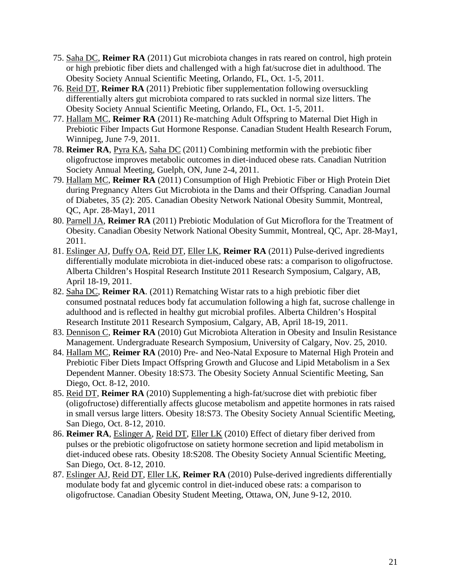- 75. Saha DC, **Reimer RA** (2011) Gut microbiota changes in rats reared on control, high protein or high prebiotic fiber diets and challenged with a high fat/sucrose diet in adulthood. The Obesity Society Annual Scientific Meeting, Orlando, FL, Oct. 1-5, 2011.
- 76. Reid DT, **Reimer RA** (2011) Prebiotic fiber supplementation following oversuckling differentially alters gut microbiota compared to rats suckled in normal size litters. The Obesity Society Annual Scientific Meeting, Orlando, FL, Oct. 1-5, 2011.
- 77. Hallam MC, **Reimer RA** (2011) Re-matching Adult Offspring to Maternal Diet High in Prebiotic Fiber Impacts Gut Hormone Response. Canadian Student Health Research Forum, Winnipeg, June 7-9, 2011.
- 78. **Reimer RA**, Pyra KA, Saha DC (2011) Combining metformin with the prebiotic fiber oligofructose improves metabolic outcomes in diet-induced obese rats. Canadian Nutrition Society Annual Meeting, Guelph, ON, June 2-4, 2011.
- 79. Hallam MC, **Reimer RA** (2011) Consumption of High Prebiotic Fiber or High Protein Diet during Pregnancy Alters Gut Microbiota in the Dams and their Offspring. Canadian Journal of Diabetes, 35 (2): 205. Canadian Obesity Network National Obesity Summit, Montreal, QC, Apr. 28-May1, 2011
- 80. Parnell JA, **Reimer RA** (2011) Prebiotic Modulation of Gut Microflora for the Treatment of Obesity. Canadian Obesity Network National Obesity Summit, Montreal, QC, Apr. 28-May1, 2011.
- 81. Eslinger AJ, Duffy OA, Reid DT, Eller LK, **Reimer RA** (2011) Pulse-derived ingredients differentially modulate microbiota in diet-induced obese rats: a comparison to oligofructose. Alberta Children's Hospital Research Institute 2011 Research Symposium, Calgary, AB, April 18-19, 2011.
- 82. Saha DC, **Reimer RA**. (2011) Rematching Wistar rats to a high prebiotic fiber diet consumed postnatal reduces body fat accumulation following a high fat, sucrose challenge in adulthood and is reflected in healthy gut microbial profiles. Alberta Children's Hospital Research Institute 2011 Research Symposium, Calgary, AB, April 18-19, 2011.
- 83. Dennison C, **Reimer RA** (2010) Gut Microbiota Alteration in Obesity and Insulin Resistance Management. Undergraduate Research Symposium, University of Calgary, Nov. 25, 2010.
- 84. Hallam MC, **Reimer RA** (2010) Pre- and Neo-Natal Exposure to Maternal High Protein and Prebiotic Fiber Diets Impact Offspring Growth and Glucose and Lipid Metabolism in a Sex Dependent Manner. Obesity 18:S73. The Obesity Society Annual Scientific Meeting, San Diego, Oct. 8-12, 2010.
- 85. Reid DT, **Reimer RA** (2010) Supplementing a high-fat/sucrose diet with prebiotic fiber (oligofructose) differentially affects glucose metabolism and appetite hormones in rats raised in small versus large litters. Obesity 18:S73. The Obesity Society Annual Scientific Meeting, San Diego, Oct. 8-12, 2010.
- 86. **Reimer RA**, Eslinger A, Reid DT, Eller LK (2010) Effect of dietary fiber derived from pulses or the prebiotic oligofructose on satiety hormone secretion and lipid metabolism in diet-induced obese rats. Obesity 18:S208. The Obesity Society Annual Scientific Meeting, San Diego, Oct. 8-12, 2010.
- 87. Eslinger AJ, Reid DT, Eller LK, **Reimer RA** (2010) Pulse-derived ingredients differentially modulate body fat and glycemic control in diet-induced obese rats: a comparison to oligofructose. Canadian Obesity Student Meeting, Ottawa, ON, June 9-12, 2010.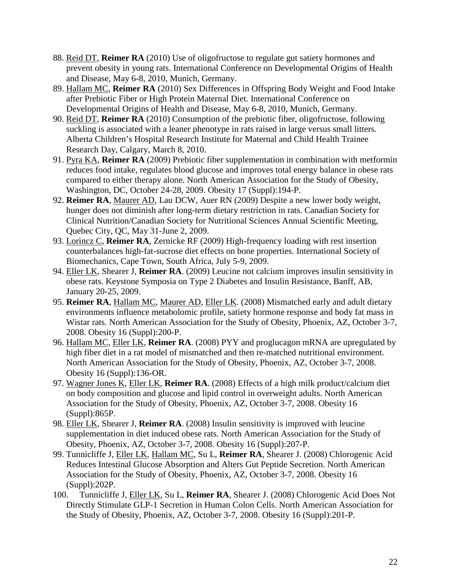- 88. Reid DT, **Reimer RA** (2010) Use of oligofructose to regulate gut satiety hormones and prevent obesity in young rats. International Conference on Developmental Origins of Health and Disease, May 6-8, 2010, Munich, Germany.
- 89. Hallam MC, **Reimer RA** (2010) Sex Differences in Offspring Body Weight and Food Intake after Prebiotic Fiber or High Protein Maternal Diet. International Conference on Developmental Origins of Health and Disease, May 6-8, 2010, Munich, Germany.
- 90. Reid DT, **Reimer RA** (2010) Consumption of the prebiotic fiber, oligofructose, following suckling is associated with a leaner phenotype in rats raised in large versus small litters. Alberta Children's Hospital Research Institute for Maternal and Child Health Trainee Research Day, Calgary, March 8, 2010.
- 91. Pyra KA, **Reimer RA** (2009) Prebiotic fiber supplementation in combination with metformin reduces food intake, regulates blood glucose and improves total energy balance in obese rats compared to either therapy alone. North American Association for the Study of Obesity, Washington, DC, October 24-28, 2009. Obesity 17 (Suppl):194-P.
- 92. **Reimer RA**, Maurer AD, Lau DCW, Auer RN (2009) Despite a new lower body weight, hunger does not diminish after long-term dietary restriction in rats. Canadian Society for Clinical Nutrition/Canadian Society for Nutritional Sciences Annual Scientific Meeting, Quebec City, QC, May 31-June 2, 2009.
- 93. Lorincz C, **Reimer RA**, Zernicke RF (2009) High-frequency loading with rest insertion counterbalances high-fat-sucrose diet effects on bone properties. International Society of Biomechanics, Cape Town, South Africa, July 5-9, 2009.
- 94. Eller LK, Shearer J, **Reimer RA**. (2009) Leucine not calcium improves insulin sensitivity in obese rats. Keystone Symposia on Type 2 Diabetes and Insulin Resistance, Banff, AB, January 20-25, 2009.
- 95. **Reimer RA**, Hallam MC, Maurer AD, Eller LK. (2008) Mismatched early and adult dietary environments influence metabolomic profile, satiety hormone response and body fat mass in Wistar rats. North American Association for the Study of Obesity, Phoenix, AZ, October 3-7, 2008. Obesity 16 (Suppl):200-P.
- 96. Hallam MC, Eller LK, **Reimer RA**. (2008) PYY and proglucagon mRNA are upregulated by high fiber diet in a rat model of mismatched and then re-matched nutritional environment. North American Association for the Study of Obesity, Phoenix, AZ, October 3-7, 2008. Obesity 16 (Suppl):136-OR.
- 97. Wagner Jones K, Eller LK, **Reimer RA**. (2008) Effects of a high milk product/calcium diet on body composition and glucose and lipid control in overweight adults. North American Association for the Study of Obesity, Phoenix, AZ, October 3-7, 2008. Obesity 16 (Suppl):865P.
- 98. Eller LK, Shearer J, **Reimer RA**. (2008) Insulin sensitivity is improved with leucine supplementation in diet induced obese rats. North American Association for the Study of Obesity, Phoenix, AZ, October 3-7, 2008. Obesity 16 (Suppl):207-P.
- 99. Tunnicliffe J, Eller LK, Hallam MC, Su L, **Reimer RA**, Shearer J. (2008) Chlorogenic Acid Reduces Intestinal Glucose Absorption and Alters Gut Peptide Secretion. North American Association for the Study of Obesity, Phoenix, AZ, October 3-7, 2008. Obesity 16 (Suppl):202P.
- 100. Tunnicliffe J, Eller LK, Su L, **Reimer RA**, Shearer J. (2008) Chlorogenic Acid Does Not Directly Stimulate GLP-1 Secretion in Human Colon Cells. North American Association for the Study of Obesity, Phoenix, AZ, October 3-7, 2008. Obesity 16 (Suppl):201-P.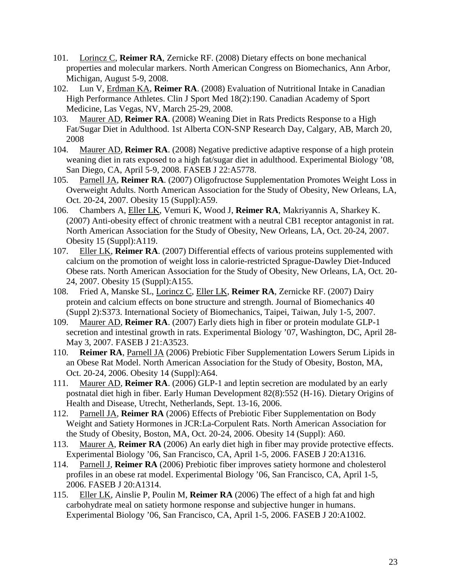- 101. Lorincz C, **Reimer RA**, Zernicke RF. (2008) Dietary effects on bone mechanical properties and molecular markers. North American Congress on Biomechanics, Ann Arbor, Michigan, August 5-9, 2008.
- 102. Lun V, Erdman KA, **Reimer RA**. (2008) Evaluation of Nutritional Intake in Canadian High Performance Athletes. Clin J Sport Med 18(2):190. Canadian Academy of Sport Medicine, Las Vegas, NV, March 25-29, 2008.
- 103. Maurer AD, **Reimer RA**. (2008) Weaning Diet in Rats Predicts Response to a High Fat/Sugar Diet in Adulthood. 1st Alberta CON-SNP Research Day, Calgary, AB, March 20, 2008
- 104. Maurer AD, **Reimer RA**. (2008) Negative predictive adaptive response of a high protein weaning diet in rats exposed to a high fat/sugar diet in adulthood. Experimental Biology '08, San Diego, CA, April 5-9, 2008. FASEB J 22:A5778.
- 105. Parnell JA, **Reimer RA**. (2007) Oligofructose Supplementation Promotes Weight Loss in Overweight Adults. North American Association for the Study of Obesity, New Orleans, LA, Oct. 20-24, 2007. Obesity 15 (Suppl):A59.
- 106. Chambers A, Eller LK, Vemuri K, Wood J, **Reimer RA**, Makriyannis A, Sharkey K. (2007) Anti-obesity effect of chronic treatment with a neutral CB1 receptor antagonist in rat. North American Association for the Study of Obesity, New Orleans, LA, Oct. 20-24, 2007. Obesity 15 (Suppl):A119.
- 107. Eller LK, **Reimer RA**. (2007) Differential effects of various proteins supplemented with calcium on the promotion of weight loss in calorie-restricted Sprague-Dawley Diet-Induced Obese rats. North American Association for the Study of Obesity, New Orleans, LA, Oct. 20- 24, 2007. Obesity 15 (Suppl):A155.
- 108. Fried A, Manske SL, Lorincz C, Eller LK, **Reimer RA**, Zernicke RF. (2007) Dairy protein and calcium effects on bone structure and strength. Journal of Biomechanics 40 (Suppl 2):S373. International Society of Biomechanics, Taipei, Taiwan, July 1-5, 2007.
- 109. Maurer AD, **Reimer RA**. (2007) Early diets high in fiber or protein modulate GLP-1 secretion and intestinal growth in rats. Experimental Biology '07, Washington, DC, April 28- May 3, 2007. FASEB J 21:A3523.
- 110. **Reimer RA**, Parnell JA (2006) Prebiotic Fiber Supplementation Lowers Serum Lipids in an Obese Rat Model. North American Association for the Study of Obesity, Boston, MA, Oct. 20-24, 2006. Obesity 14 (Suppl):A64.
- 111. Maurer AD, **Reimer RA**. (2006) GLP-1 and leptin secretion are modulated by an early postnatal diet high in fiber. Early Human Development 82(8):552 (H-16). Dietary Origins of Health and Disease, Utrecht, Netherlands, Sept. 13-16, 2006.
- 112. Parnell JA, **Reimer RA** (2006) Effects of Prebiotic Fiber Supplementation on Body Weight and Satiety Hormones in JCR:La-Corpulent Rats. North American Association for the Study of Obesity, Boston, MA, Oct. 20-24, 2006. Obesity 14 (Suppl): A60.
- 113. Maurer A, **Reimer RA** (2006) An early diet high in fiber may provide protective effects. Experimental Biology '06, San Francisco, CA, April 1-5, 2006. FASEB J 20:A1316.
- 114. Parnell J, **Reimer RA** (2006) Prebiotic fiber improves satiety hormone and cholesterol profiles in an obese rat model. Experimental Biology '06, San Francisco, CA, April 1-5, 2006. FASEB J 20:A1314.
- 115. Eller LK, Ainslie P, Poulin M, **Reimer RA** (2006) The effect of a high fat and high carbohydrate meal on satiety hormone response and subjective hunger in humans. Experimental Biology '06, San Francisco, CA, April 1-5, 2006. FASEB J 20:A1002.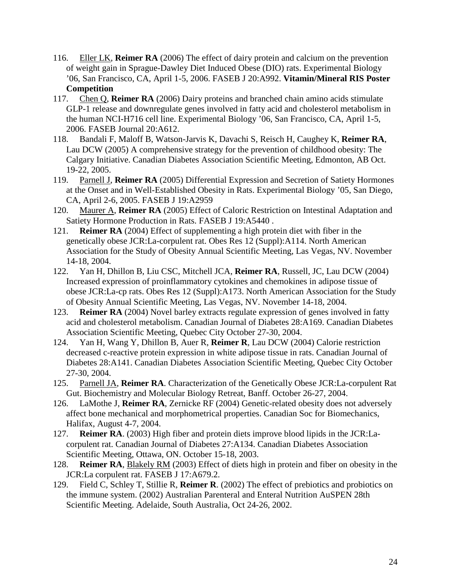- 116. Eller LK, **Reimer RA** (2006) The effect of dairy protein and calcium on the prevention of weight gain in Sprague-Dawley Diet Induced Obese (DIO) rats. Experimental Biology '06, San Francisco, CA, April 1-5, 2006. FASEB J 20:A992. **Vitamin/Mineral RIS Poster Competition**
- 117. Chen Q, **Reimer RA** (2006) Dairy proteins and branched chain amino acids stimulate GLP-1 release and downregulate genes involved in fatty acid and cholesterol metabolism in the human NCI-H716 cell line. Experimental Biology '06, San Francisco, CA, April 1-5, 2006. FASEB Journal 20:A612.
- 118. Bandali F, Maloff B, Watson-Jarvis K, Davachi S, Reisch H, Caughey K, **Reimer RA**, Lau DCW (2005) A comprehensive strategy for the prevention of childhood obesity: The Calgary Initiative. Canadian Diabetes Association Scientific Meeting, Edmonton, AB Oct. 19-22, 2005.
- 119. Parnell J, **Reimer RA** (2005) Differential Expression and Secretion of Satiety Hormones at the Onset and in Well-Established Obesity in Rats. Experimental Biology '05, San Diego, CA, April 2-6, 2005. FASEB J 19:A2959
- 120. Maurer A, **Reimer RA** (2005) Effect of Caloric Restriction on Intestinal Adaptation and Satiety Hormone Production in Rats. FASEB J 19:A5440 .
- 121. **Reimer RA** (2004) Effect of supplementing a high protein diet with fiber in the genetically obese JCR:La-corpulent rat. Obes Res 12 (Suppl):A114. North American Association for the Study of Obesity Annual Scientific Meeting, Las Vegas, NV. November 14-18, 2004.
- 122. Yan H, Dhillon B, Liu CSC, Mitchell JCA, **Reimer RA**, Russell, JC, Lau DCW (2004) Increased expression of proinflammatory cytokines and chemokines in adipose tissue of obese JCR:La-cp rats. Obes Res 12 (Suppl):A173. North American Association for the Study of Obesity Annual Scientific Meeting, Las Vegas, NV. November 14-18, 2004.
- 123. **Reimer RA** (2004) Novel barley extracts regulate expression of genes involved in fatty acid and cholesterol metabolism. Canadian Journal of Diabetes 28:A169. Canadian Diabetes Association Scientific Meeting, Quebec City October 27-30, 2004.
- 124. Yan H, Wang Y, Dhillon B, Auer R, **Reimer R**, Lau DCW (2004) Calorie restriction decreased c-reactive protein expression in white adipose tissue in rats. Canadian Journal of Diabetes 28:A141. Canadian Diabetes Association Scientific Meeting, Quebec City October 27-30, 2004.
- 125. Parnell JA, **Reimer RA**. Characterization of the Genetically Obese JCR:La-corpulent Rat Gut. Biochemistry and Molecular Biology Retreat, Banff. October 26-27, 2004.
- 126. LaMothe J, **Reimer RA**, Zernicke RF (2004) Genetic-related obesity does not adversely affect bone mechanical and morphometrical properties. Canadian Soc for Biomechanics, Halifax, August 4-7, 2004.
- 127. **Reimer RA**. (2003) High fiber and protein diets improve blood lipids in the JCR:Lacorpulent rat. Canadian Journal of Diabetes 27:A134. Canadian Diabetes Association Scientific Meeting, Ottawa, ON. October 15-18, 2003.
- 128. **Reimer RA**, Blakely RM (2003) Effect of diets high in protein and fiber on obesity in the JCR:La corpulent rat. FASEB J 17:A679.2.
- 129. Field C, Schley T, Stillie R, **Reimer R**. (2002) The effect of prebiotics and probiotics on the immune system. (2002) Australian Parenteral and Enteral Nutrition AuSPEN 28th Scientific Meeting. Adelaide, South Australia, Oct 24-26, 2002.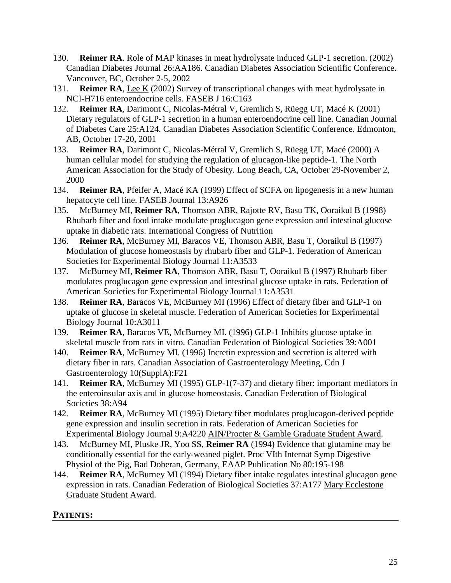- 130. **Reimer RA**. Role of MAP kinases in meat hydrolysate induced GLP-1 secretion. (2002) Canadian Diabetes Journal 26:AA186. Canadian Diabetes Association Scientific Conference. Vancouver, BC, October 2-5, 2002
- 131. **Reimer RA**, Lee K (2002) Survey of transcriptional changes with meat hydrolysate in NCI-H716 enteroendocrine cells. FASEB J 16:C163
- 132. **Reimer RA**, Darimont C, Nicolas-Métral V, Gremlich S, Rüegg UT, Macé K (2001) Dietary regulators of GLP-1 secretion in a human enteroendocrine cell line. Canadian Journal of Diabetes Care 25:A124. Canadian Diabetes Association Scientific Conference. Edmonton, AB, October 17-20, 2001
- 133. **Reimer RA**, Darimont C, Nicolas-Métral V, Gremlich S, Rüegg UT, Macé (2000) A human cellular model for studying the regulation of glucagon-like peptide-1. The North American Association for the Study of Obesity. Long Beach, CA, October 29-November 2, 2000
- 134. **Reimer RA**, Pfeifer A, Macé KA (1999) Effect of SCFA on lipogenesis in a new human hepatocyte cell line. FASEB Journal 13:A926
- 135. McBurney MI, **Reimer RA**, Thomson ABR, Rajotte RV, Basu TK, Ooraikul B (1998) Rhubarb fiber and food intake modulate proglucagon gene expression and intestinal glucose uptake in diabetic rats. International Congress of Nutrition
- 136. **Reimer RA**, McBurney MI, Baracos VE, Thomson ABR, Basu T, Ooraikul B (1997) Modulation of glucose homeostasis by rhubarb fiber and GLP-1. Federation of American Societies for Experimental Biology Journal 11:A3533
- 137. McBurney MI, **Reimer RA**, Thomson ABR, Basu T, Ooraikul B (1997) Rhubarb fiber modulates proglucagon gene expression and intestinal glucose uptake in rats. Federation of American Societies for Experimental Biology Journal 11:A3531
- 138. **Reimer RA**, Baracos VE, McBurney MI (1996) Effect of dietary fiber and GLP-1 on uptake of glucose in skeletal muscle. Federation of American Societies for Experimental Biology Journal 10:A3011
- 139. **Reimer RA**, Baracos VE, McBurney MI. (1996) GLP-1 Inhibits glucose uptake in skeletal muscle from rats in vitro. Canadian Federation of Biological Societies 39:A001
- 140. **Reimer RA**, McBurney MI. (1996) Incretin expression and secretion is altered with dietary fiber in rats. Canadian Association of Gastroenterology Meeting, Cdn J Gastroenterology 10(SupplA):F21
- 141. **Reimer RA**, McBurney MI (1995) GLP-1(7-37) and dietary fiber: important mediators in the enteroinsular axis and in glucose homeostasis. Canadian Federation of Biological Societies 38:A94
- 142. **Reimer RA**, McBurney MI (1995) Dietary fiber modulates proglucagon-derived peptide gene expression and insulin secretion in rats. Federation of American Societies for Experimental Biology Journal 9:A4220 AIN/Procter & Gamble Graduate Student Award.
- 143. McBurney MI, Pluske JR, Yoo SS, **Reimer RA** (1994) Evidence that glutamine may be conditionally essential for the early-weaned piglet. Proc VIth Internat Symp Digestive Physiol of the Pig, Bad Doberan, Germany, EAAP Publication No 80:195-198
- 144. **Reimer RA**, McBurney MI (1994) Dietary fiber intake regulates intestinal glucagon gene expression in rats. Canadian Federation of Biological Societies 37:A177 Mary Ecclestone Graduate Student Award.

### **PATENTS:**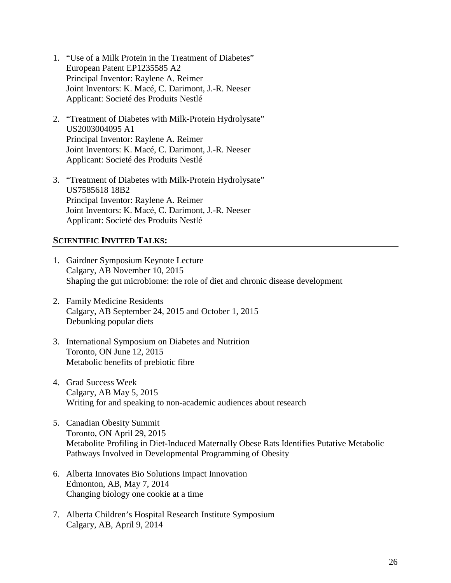- 1. "Use of a Milk Protein in the Treatment of Diabetes" European Patent EP1235585 A2 Principal Inventor: Raylene A. Reimer Joint Inventors: K. Macé, C. Darimont, J.-R. Neeser Applicant: Societé des Produits Nestlé
- 2. "Treatment of Diabetes with Milk-Protein Hydrolysate" US2003004095 A1 Principal Inventor: Raylene A. Reimer Joint Inventors: K. Macé, C. Darimont, J.-R. Neeser Applicant: Societé des Produits Nestlé
- 3. "Treatment of Diabetes with Milk-Protein Hydrolysate" US7585618 18B2 Principal Inventor: Raylene A. Reimer Joint Inventors: K. Macé, C. Darimont, J.-R. Neeser Applicant: Societé des Produits Nestlé

#### **SCIENTIFIC INVITED TALKS:**

- 1. Gairdner Symposium Keynote Lecture Calgary, AB November 10, 2015 Shaping the gut microbiome: the role of diet and chronic disease development
- 2. Family Medicine Residents Calgary, AB September 24, 2015 and October 1, 2015 Debunking popular diets
- 3. International Symposium on Diabetes and Nutrition Toronto, ON June 12, 2015 Metabolic benefits of prebiotic fibre
- 4. Grad Success Week Calgary, AB May 5, 2015 Writing for and speaking to non-academic audiences about research
- 5. Canadian Obesity Summit Toronto, ON April 29, 2015 Metabolite Profiling in Diet-Induced Maternally Obese Rats Identifies Putative Metabolic Pathways Involved in Developmental Programming of Obesity
- 6. Alberta Innovates Bio Solutions Impact Innovation Edmonton, AB, May 7, 2014 Changing biology one cookie at a time
- 7. Alberta Children's Hospital Research Institute Symposium Calgary, AB, April 9, 2014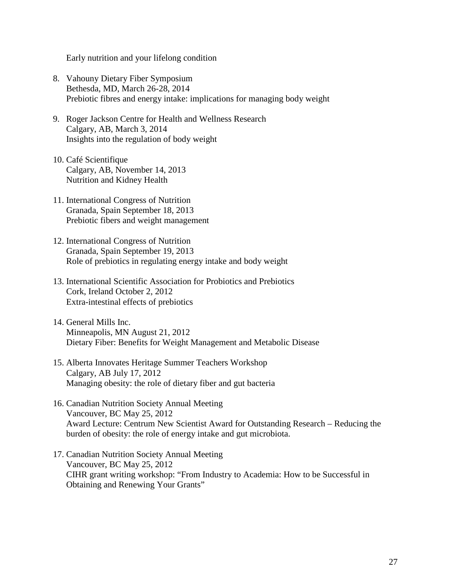Early nutrition and your lifelong condition

- 8. Vahouny Dietary Fiber Symposium Bethesda, MD, March 26-28, 2014 Prebiotic fibres and energy intake: implications for managing body weight
- 9. Roger Jackson Centre for Health and Wellness Research Calgary, AB, March 3, 2014 Insights into the regulation of body weight
- 10. Café Scientifique Calgary, AB, November 14, 2013 Nutrition and Kidney Health
- 11. International Congress of Nutrition Granada, Spain September 18, 2013 Prebiotic fibers and weight management
- 12. International Congress of Nutrition Granada, Spain September 19, 2013 Role of prebiotics in regulating energy intake and body weight
- 13. International Scientific Association for Probiotics and Prebiotics Cork, Ireland October 2, 2012 Extra-intestinal effects of prebiotics
- 14. General Mills Inc. Minneapolis, MN August 21, 2012 Dietary Fiber: Benefits for Weight Management and Metabolic Disease
- 15. Alberta Innovates Heritage Summer Teachers Workshop Calgary, AB July 17, 2012 Managing obesity: the role of dietary fiber and gut bacteria
- 16. Canadian Nutrition Society Annual Meeting Vancouver, BC May 25, 2012 Award Lecture: Centrum New Scientist Award for Outstanding Research – Reducing the burden of obesity: the role of energy intake and gut microbiota.
- 17. Canadian Nutrition Society Annual Meeting Vancouver, BC May 25, 2012 CIHR grant writing workshop: "From Industry to Academia: How to be Successful in Obtaining and Renewing Your Grants"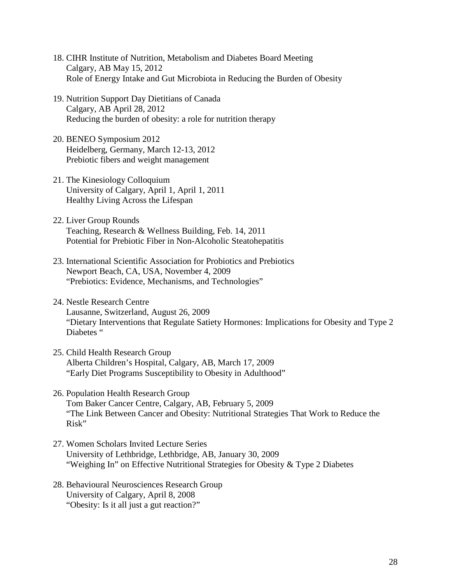- 18. CIHR Institute of Nutrition, Metabolism and Diabetes Board Meeting Calgary, AB May 15, 2012 Role of Energy Intake and Gut Microbiota in Reducing the Burden of Obesity
- 19. Nutrition Support Day Dietitians of Canada Calgary, AB April 28, 2012 Reducing the burden of obesity: a role for nutrition therapy
- 20. BENEO Symposium 2012 Heidelberg, Germany, March 12-13, 2012 Prebiotic fibers and weight management
- 21. The Kinesiology Colloquium University of Calgary, April 1, April 1, 2011 Healthy Living Across the Lifespan
- 22. Liver Group Rounds Teaching, Research & Wellness Building, Feb. 14, 2011 Potential for Prebiotic Fiber in Non-Alcoholic Steatohepatitis
- 23. International Scientific Association for Probiotics and Prebiotics Newport Beach, CA, USA, November 4, 2009 "Prebiotics: Evidence, Mechanisms, and Technologies"
- 24. Nestle Research Centre Lausanne, Switzerland, August 26, 2009 "Dietary Interventions that Regulate Satiety Hormones: Implications for Obesity and Type 2 Diabetes "
- 25. Child Health Research Group Alberta Children's Hospital, Calgary, AB, March 17, 2009 "Early Diet Programs Susceptibility to Obesity in Adulthood"
- 26. Population Health Research Group Tom Baker Cancer Centre, Calgary, AB, February 5, 2009 "The Link Between Cancer and Obesity: Nutritional Strategies That Work to Reduce the Risk"
- 27. Women Scholars Invited Lecture Series University of Lethbridge, Lethbridge, AB, January 30, 2009 "Weighing In" on Effective Nutritional Strategies for Obesity & Type 2 Diabetes
- 28. Behavioural Neurosciences Research Group University of Calgary, April 8, 2008 "Obesity: Is it all just a gut reaction?"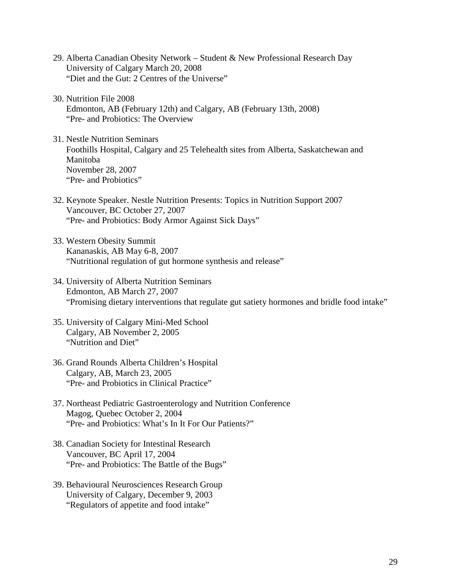- 29. Alberta Canadian Obesity Network Student & New Professional Research Day University of Calgary March 20, 2008 "Diet and the Gut: 2 Centres of the Universe"
- 30. Nutrition File 2008 Edmonton, AB (February 12th) and Calgary, AB (February 13th, 2008) "Pre- and Probiotics: The Overview
- 31. Nestle Nutrition Seminars Foothills Hospital, Calgary and 25 Telehealth sites from Alberta, Saskatchewan and Manitoba November 28, 2007 "Pre- and Probiotics"
- 32. Keynote Speaker. Nestle Nutrition Presents: Topics in Nutrition Support 2007 Vancouver, BC October 27, 2007 "Pre- and Probiotics: Body Armor Against Sick Days"
- 33. Western Obesity Summit Kananaskis, AB May 6-8, 2007 "Nutritional regulation of gut hormone synthesis and release"
- 34. University of Alberta Nutrition Seminars Edmonton, AB March 27, 2007 "Promising dietary interventions that regulate gut satiety hormones and bridle food intake"
- 35. University of Calgary Mini-Med School Calgary, AB November 2, 2005 "Nutrition and Diet"
- 36. Grand Rounds Alberta Children's Hospital Calgary, AB, March 23, 2005 "Pre- and Probiotics in Clinical Practice"
- 37. Northeast Pediatric Gastroenterology and Nutrition Conference Magog, Quebec October 2, 2004 "Pre- and Probiotics: What's In It For Our Patients?"
- 38. Canadian Society for Intestinal Research Vancouver, BC April 17, 2004 "Pre- and Probiotics: The Battle of the Bugs"
- 39. Behavioural Neurosciences Research Group University of Calgary, December 9, 2003 "Regulators of appetite and food intake"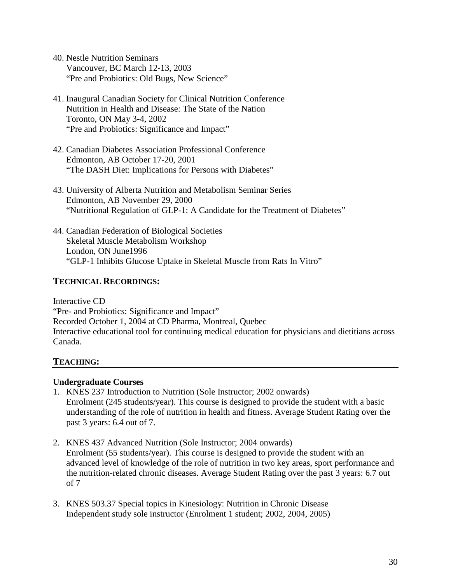- 40. Nestle Nutrition Seminars Vancouver, BC March 12-13, 2003 "Pre and Probiotics: Old Bugs, New Science"
- 41. Inaugural Canadian Society for Clinical Nutrition Conference Nutrition in Health and Disease: The State of the Nation Toronto, ON May 3-4, 2002 "Pre and Probiotics: Significance and Impact"
- 42. Canadian Diabetes Association Professional Conference Edmonton, AB October 17-20, 2001 "The DASH Diet: Implications for Persons with Diabetes"
- 43. University of Alberta Nutrition and Metabolism Seminar Series Edmonton, AB November 29, 2000 "Nutritional Regulation of GLP-1: A Candidate for the Treatment of Diabetes"
- 44. Canadian Federation of Biological Societies Skeletal Muscle Metabolism Workshop London, ON June1996 "GLP-1 Inhibits Glucose Uptake in Skeletal Muscle from Rats In Vitro"

### **TECHNICAL RECORDINGS:**

Interactive CD "Pre- and Probiotics: Significance and Impact" Recorded October 1, 2004 at CD Pharma, Montreal, Quebec Interactive educational tool for continuing medical education for physicians and dietitians across Canada.

# **TEACHING:**

### **Undergraduate Courses**

- 1. KNES 237 Introduction to Nutrition (Sole Instructor; 2002 onwards) Enrolment (245 students/year). This course is designed to provide the student with a basic understanding of the role of nutrition in health and fitness. Average Student Rating over the past 3 years: 6.4 out of 7.
- 2. KNES 437 Advanced Nutrition (Sole Instructor; 2004 onwards) Enrolment (55 students/year). This course is designed to provide the student with an advanced level of knowledge of the role of nutrition in two key areas, sport performance and the nutrition-related chronic diseases. Average Student Rating over the past 3 years: 6.7 out of 7
- 3. KNES 503.37 Special topics in Kinesiology: Nutrition in Chronic Disease Independent study sole instructor (Enrolment 1 student; 2002, 2004, 2005)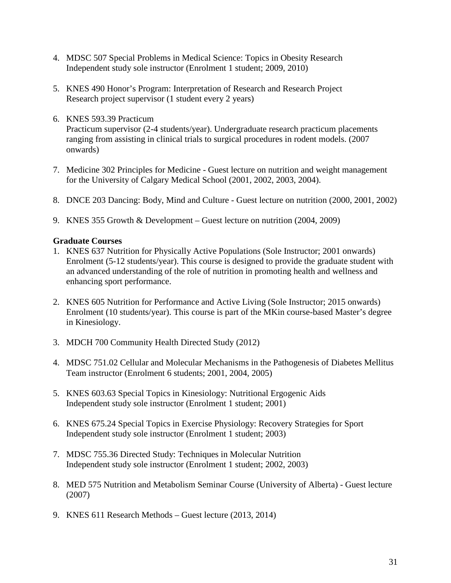- 4. MDSC 507 Special Problems in Medical Science: Topics in Obesity Research Independent study sole instructor (Enrolment 1 student; 2009, 2010)
- 5. KNES 490 Honor's Program: Interpretation of Research and Research Project Research project supervisor (1 student every 2 years)
- 6. KNES 593.39 Practicum Practicum supervisor (2-4 students/year). Undergraduate research practicum placements ranging from assisting in clinical trials to surgical procedures in rodent models. (2007 onwards)
- 7. Medicine 302 Principles for Medicine Guest lecture on nutrition and weight management for the University of Calgary Medical School (2001, 2002, 2003, 2004).
- 8. DNCE 203 Dancing: Body, Mind and Culture Guest lecture on nutrition (2000, 2001, 2002)
- 9. KNES 355 Growth & Development Guest lecture on nutrition (2004, 2009)

## **Graduate Courses**

- 1. KNES 637 Nutrition for Physically Active Populations (Sole Instructor; 2001 onwards) Enrolment (5-12 students/year). This course is designed to provide the graduate student with an advanced understanding of the role of nutrition in promoting health and wellness and enhancing sport performance.
- 2. KNES 605 Nutrition for Performance and Active Living (Sole Instructor; 2015 onwards) Enrolment (10 students/year). This course is part of the MKin course-based Master's degree in Kinesiology.
- 3. MDCH 700 Community Health Directed Study (2012)
- 4. MDSC 751.02 Cellular and Molecular Mechanisms in the Pathogenesis of Diabetes Mellitus Team instructor (Enrolment 6 students; 2001, 2004, 2005)
- 5. KNES 603.63 Special Topics in Kinesiology: Nutritional Ergogenic Aids Independent study sole instructor (Enrolment 1 student; 2001)
- 6. KNES 675.24 Special Topics in Exercise Physiology: Recovery Strategies for Sport Independent study sole instructor (Enrolment 1 student; 2003)
- 7. MDSC 755.36 Directed Study: Techniques in Molecular Nutrition Independent study sole instructor (Enrolment 1 student; 2002, 2003)
- 8. MED 575 Nutrition and Metabolism Seminar Course (University of Alberta) Guest lecture (2007)
- 9. KNES 611 Research Methods Guest lecture (2013, 2014)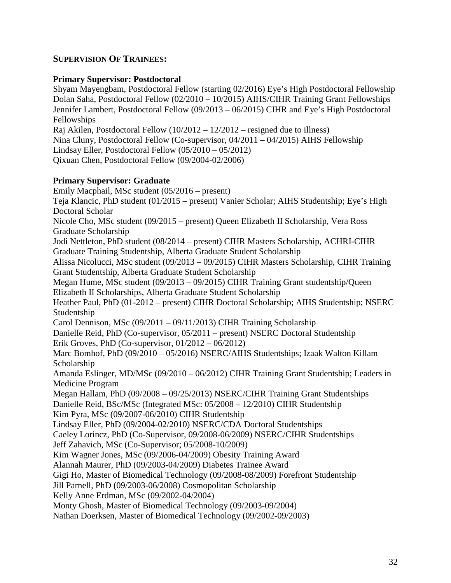## **SUPERVISION OF TRAINEES:**

#### **Primary Supervisor: Postdoctoral**

Shyam Mayengbam, Postdoctoral Fellow (starting 02/2016) Eye's High Postdoctoral Fellowship Dolan Saha, Postdoctoral Fellow (02/2010 – 10/2015) AIHS/CIHR Training Grant Fellowships Jennifer Lambert, Postdoctoral Fellow (09/2013 – 06/2015) CIHR and Eye's High Postdoctoral Fellowships

Raj Akilen, Postdoctoral Fellow (10/2012 – 12/2012 – resigned due to illness)

Nina Cluny, Postdoctoral Fellow (Co-supervisor, 04/2011 – 04/2015) AIHS Fellowship

Lindsay Eller, Postdoctoral Fellow (05/2010 – 05/2012)

Qixuan Chen, Postdoctoral Fellow (09/2004-02/2006)

### **Primary Supervisor: Graduate**

Emily Macphail, MSc student (05/2016 – present) Teja Klancic, PhD student (01/2015 – present) Vanier Scholar; AIHS Studentship; Eye's High Doctoral Scholar Nicole Cho, MSc student (09/2015 – present) Queen Elizabeth II Scholarship, Vera Ross Graduate Scholarship Jodi Nettleton, PhD student (08/2014 – present) CIHR Masters Scholarship, ACHRI-CIHR Graduate Training Studentship, Alberta Graduate Student Scholarship Alissa Nicolucci, MSc student (09/2013 – 09/2015) CIHR Masters Scholarship, CIHR Training Grant Studentship, Alberta Graduate Student Scholarship Megan Hume, MSc student (09/2013 – 09/2015) CIHR Training Grant studentship/Queen Elizabeth II Scholarships, Alberta Graduate Student Scholarship Heather Paul, PhD (01-2012 – present) CIHR Doctoral Scholarship; AIHS Studentship; NSERC Studentship Carol Dennison, MSc (09/2011 – 09/11/2013) CIHR Training Scholarship Danielle Reid, PhD (Co-supervisor, 05/2011 – present) NSERC Doctoral Studentship Erik Groves, PhD (Co-supervisor, 01/2012 – 06/2012) Marc Bomhof, PhD (09/2010 – 05/2016) NSERC/AIHS Studentships; Izaak Walton Killam Scholarship Amanda Eslinger, MD/MSc (09/2010 – 06/2012) CIHR Training Grant Studentship; Leaders in Medicine Program Megan Hallam, PhD (09/2008 – 09/25/2013) NSERC/CIHR Training Grant Studentships Danielle Reid, BSc/MSc (Integrated MSc: 05/2008 – 12/2010) CIHR Studentship Kim Pyra, MSc (09/2007-06/2010) CIHR Studentship Lindsay Eller, PhD (09/2004-02/2010) NSERC/CDA Doctoral Studentships Caeley Lorincz, PhD (Co-Supervisor, 09/2008-06/2009) NSERC/CIHR Studentships Jeff Zahavich, MSc (Co-Supervisor; 05/2008-10/2009) Kim Wagner Jones, MSc (09/2006-04/2009) Obesity Training Award Alannah Maurer, PhD (09/2003-04/2009) Diabetes Trainee Award Gigi Ho, Master of Biomedical Technology (09/2008-08/2009) Forefront Studentship Jill Parnell, PhD (09/2003-06/2008) Cosmopolitan Scholarship Kelly Anne Erdman, MSc (09/2002-04/2004) Monty Ghosh, Master of Biomedical Technology (09/2003-09/2004) Nathan Doerksen, Master of Biomedical Technology (09/2002-09/2003)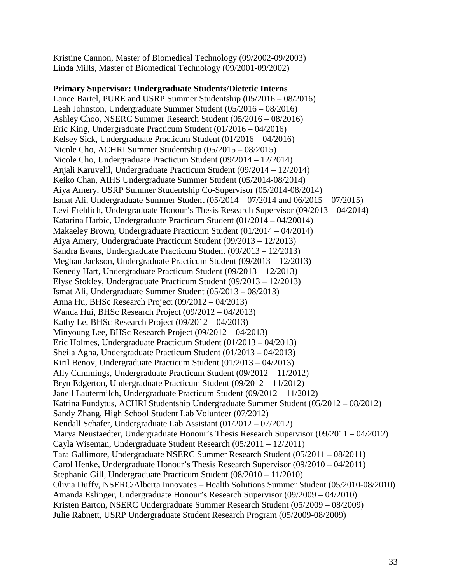Kristine Cannon, Master of Biomedical Technology (09/2002-09/2003) Linda Mills, Master of Biomedical Technology (09/2001-09/2002)

#### **Primary Supervisor: Undergraduate Students/Dietetic Interns**

Lance Bartel, PURE and USRP Summer Studentship (05/2016 – 08/2016) Leah Johnston, Undergraduate Summer Student (05/2016 – 08/2016) Ashley Choo, NSERC Summer Research Student (05/2016 – 08/2016) Eric King, Undergraduate Practicum Student (01/2016 – 04/2016) Kelsey Sick, Undergraduate Practicum Student (01/2016 – 04/2016) Nicole Cho, ACHRI Summer Studentship (05/2015 – 08/2015) Nicole Cho, Undergraduate Practicum Student (09/2014 – 12/2014) Anjali Karuvelil, Undergraduate Practicum Student (09/2014 – 12/2014) Keiko Chan, AIHS Undergraduate Summer Student (05/2014-08/2014) Aiya Amery, USRP Summer Studentship Co-Supervisor (05/2014-08/2014) Ismat Ali, Undergraduate Summer Student (05/2014 – 07/2014 and 06/2015 – 07/2015) Levi Frehlich, Undergraduate Honour's Thesis Research Supervisor (09/2013 – 04/2014) Katarina Harbic, Undergraduate Practicum Student (01/2014 – 04/20014) Makaeley Brown, Undergraduate Practicum Student (01/2014 – 04/2014) Aiya Amery, Undergraduate Practicum Student (09/2013 – 12/2013) Sandra Evans, Undergraduate Practicum Student (09/2013 – 12/2013) Meghan Jackson, Undergraduate Practicum Student (09/2013 – 12/2013) Kenedy Hart, Undergraduate Practicum Student (09/2013 – 12/2013) Elyse Stokley, Undergraduate Practicum Student (09/2013 – 12/2013) Ismat Ali, Undergraduate Summer Student (05/2013 – 08/2013) Anna Hu, BHSc Research Project (09/2012 – 04/2013) Wanda Hui, BHSc Research Project (09/2012 – 04/2013) Kathy Le, BHSc Research Project (09/2012 – 04/2013) Minyoung Lee, BHSc Research Project (09/2012 – 04/2013) Eric Holmes, Undergraduate Practicum Student (01/2013 – 04/2013) Sheila Agha, Undergraduate Practicum Student (01/2013 – 04/2013) Kiril Benov, Undergraduate Practicum Student (01/2013 – 04/2013) Ally Cummings, Undergraduate Practicum Student (09/2012 – 11/2012) Bryn Edgerton, Undergraduate Practicum Student (09/2012 – 11/2012) Janell Lautermilch, Undergraduate Practicum Student (09/2012 – 11/2012) Katrina Fundytus, ACHRI Studentship Undergraduate Summer Student (05/2012 – 08/2012) Sandy Zhang, High School Student Lab Volunteer (07/2012) Kendall Schafer, Undergraduate Lab Assistant (01/2012 – 07/2012) Marya Neustaedter, Undergraduate Honour's Thesis Research Supervisor (09/2011 – 04/2012) Cayla Wiseman, Undergraduate Student Research (05/2011 – 12/2011) Tara Gallimore, Undergraduate NSERC Summer Research Student (05/2011 – 08/2011) Carol Henke, Undergraduate Honour's Thesis Research Supervisor (09/2010 – 04/2011) Stephanie Gill, Undergraduate Practicum Student (08/2010 – 11/2010) Olivia Duffy, NSERC/Alberta Innovates – Health Solutions Summer Student (05/2010-08/2010) Amanda Eslinger, Undergraduate Honour's Research Supervisor (09/2009 – 04/2010) Kristen Barton, NSERC Undergraduate Summer Research Student (05/2009 – 08/2009) Julie Rabnett, USRP Undergraduate Student Research Program (05/2009-08/2009)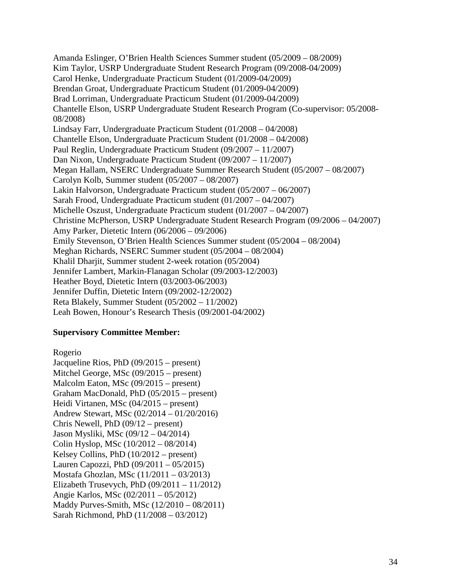Amanda Eslinger, O'Brien Health Sciences Summer student (05/2009 – 08/2009) Kim Taylor, USRP Undergraduate Student Research Program (09/2008-04/2009) Carol Henke, Undergraduate Practicum Student (01/2009-04/2009) Brendan Groat, Undergraduate Practicum Student (01/2009-04/2009) Brad Lorriman, Undergraduate Practicum Student (01/2009-04/2009) Chantelle Elson, USRP Undergraduate Student Research Program (Co-supervisor: 05/2008- 08/2008) Lindsay Farr, Undergraduate Practicum Student (01/2008 – 04/2008) Chantelle Elson, Undergraduate Practicum Student (01/2008 – 04/2008) Paul Reglin, Undergraduate Practicum Student (09/2007 – 11/2007) Dan Nixon, Undergraduate Practicum Student (09/2007 – 11/2007) Megan Hallam, NSERC Undergraduate Summer Research Student (05/2007 – 08/2007) Carolyn Kolb, Summer student (05/2007 – 08/2007) Lakin Halvorson, Undergraduate Practicum student (05/2007 – 06/2007) Sarah Frood, Undergraduate Practicum student (01/2007 – 04/2007) Michelle Oszust, Undergraduate Practicum student (01/2007 – 04/2007) Christine McPherson, USRP Undergraduate Student Research Program (09/2006 – 04/2007) Amy Parker, Dietetic Intern (06/2006 – 09/2006) Emily Stevenson, O'Brien Health Sciences Summer student (05/2004 – 08/2004) Meghan Richards, NSERC Summer student (05/2004 – 08/2004) Khalil Dharjit, Summer student 2-week rotation (05/2004) Jennifer Lambert, Markin-Flanagan Scholar (09/2003-12/2003) Heather Boyd, Dietetic Intern (03/2003-06/2003) Jennifer Duffin, Dietetic Intern (09/2002-12/2002) Reta Blakely, Summer Student (05/2002 – 11/2002) Leah Bowen, Honour's Research Thesis (09/2001-04/2002)

### **Supervisory Committee Member:**

Rogerio Jacqueline Rios, PhD (09/2015 – present) Mitchel George, MSc (09/2015 – present) Malcolm Eaton, MSc (09/2015 – present) Graham MacDonald, PhD (05/2015 – present) Heidi Virtanen, MSc (04/2015 – present) Andrew Stewart, MSc (02/2014 – 01/20/2016) Chris Newell, PhD (09/12 – present) Jason Mysliki, MSc (09/12 – 04/2014) Colin Hyslop, MSc (10/2012 – 08/2014) Kelsey Collins, PhD (10/2012 – present) Lauren Capozzi, PhD (09/2011 – 05/2015) Mostafa Ghozlan, MSc (11/2011 – 03/2013) Elizabeth Trusevych, PhD (09/2011 – 11/2012) Angie Karlos, MSc (02/2011 – 05/2012) Maddy Purves-Smith, MSc (12/2010 – 08/2011) Sarah Richmond, PhD (11/2008 – 03/2012)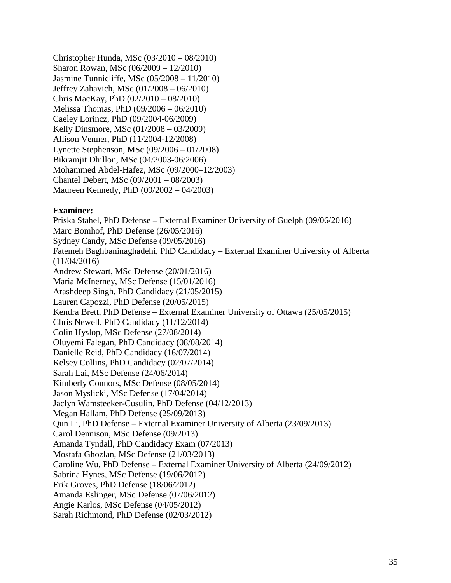Christopher Hunda, MSc (03/2010 – 08/2010) Sharon Rowan, MSc (06/2009 – 12/2010) Jasmine Tunnicliffe, MSc (05/2008 – 11/2010) Jeffrey Zahavich, MSc (01/2008 – 06/2010) Chris MacKay, PhD (02/2010 – 08/2010) Melissa Thomas, PhD (09/2006 – 06/2010) Caeley Lorincz, PhD (09/2004-06/2009) Kelly Dinsmore, MSc (01/2008 – 03/2009) Allison Venner, PhD (11/2004-12/2008) Lynette Stephenson, MSc (09/2006 – 01/2008) Bikramjit Dhillon, MSc (04/2003-06/2006) Mohammed Abdel-Hafez, MSc (09/2000–12/2003) Chantel Debert, MSc (09/2001 – 08/2003) Maureen Kennedy, PhD (09/2002 – 04/2003)

#### **Examiner:**

Priska Stahel, PhD Defense – External Examiner University of Guelph (09/06/2016) Marc Bomhof, PhD Defense (26/05/2016) Sydney Candy, MSc Defense (09/05/2016) Fatemeh Baghbaninaghadehi, PhD Candidacy – External Examiner University of Alberta (11/04/2016) Andrew Stewart, MSc Defense (20/01/2016) Maria McInerney, MSc Defense (15/01/2016) Arashdeep Singh, PhD Candidacy (21/05/2015) Lauren Capozzi, PhD Defense (20/05/2015) Kendra Brett, PhD Defense – External Examiner University of Ottawa (25/05/2015) Chris Newell, PhD Candidacy (11/12/2014) Colin Hyslop, MSc Defense (27/08/2014) Oluyemi Falegan, PhD Candidacy (08/08/2014) Danielle Reid, PhD Candidacy (16/07/2014) Kelsey Collins, PhD Candidacy (02/07/2014) Sarah Lai, MSc Defense (24/06/2014) Kimberly Connors, MSc Defense (08/05/2014) Jason Myslicki, MSc Defense (17/04/2014) Jaclyn Wamsteeker-Cusulin, PhD Defense (04/12/2013) Megan Hallam, PhD Defense (25/09/2013) Qun Li, PhD Defense – External Examiner University of Alberta (23/09/2013) Carol Dennison, MSc Defense (09/2013) Amanda Tyndall, PhD Candidacy Exam (07/2013) Mostafa Ghozlan, MSc Defense (21/03/2013) Caroline Wu, PhD Defense – External Examiner University of Alberta (24/09/2012) Sabrina Hynes, MSc Defense (19/06/2012) Erik Groves, PhD Defense (18/06/2012) Amanda Eslinger, MSc Defense (07/06/2012) Angie Karlos, MSc Defense (04/05/2012) Sarah Richmond, PhD Defense (02/03/2012)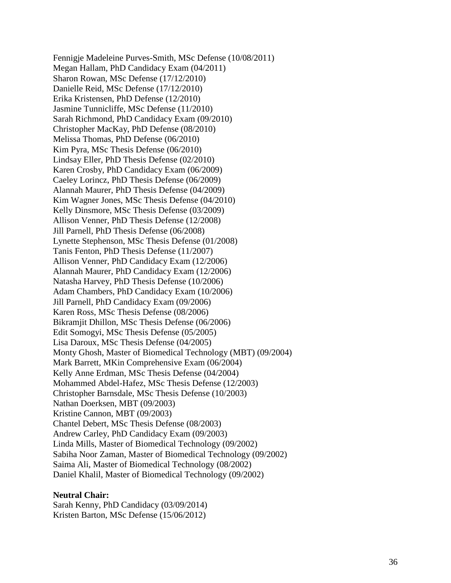Fennigje Madeleine Purves-Smith, MSc Defense (10/08/2011) Megan Hallam, PhD Candidacy Exam (04/2011) Sharon Rowan, MSc Defense (17/12/2010) Danielle Reid, MSc Defense (17/12/2010) Erika Kristensen, PhD Defense (12/2010) Jasmine Tunnicliffe, MSc Defense (11/2010) Sarah Richmond, PhD Candidacy Exam (09/2010) Christopher MacKay, PhD Defense (08/2010) Melissa Thomas, PhD Defense (06/2010) Kim Pyra, MSc Thesis Defense (06/2010) Lindsay Eller, PhD Thesis Defense (02/2010) Karen Crosby, PhD Candidacy Exam (06/2009) Caeley Lorincz, PhD Thesis Defense (06/2009) Alannah Maurer, PhD Thesis Defense (04/2009) Kim Wagner Jones, MSc Thesis Defense (04/2010) Kelly Dinsmore, MSc Thesis Defense (03/2009) Allison Venner, PhD Thesis Defense (12/2008) Jill Parnell, PhD Thesis Defense (06/2008) Lynette Stephenson, MSc Thesis Defense (01/2008) Tanis Fenton, PhD Thesis Defense (11/2007) Allison Venner, PhD Candidacy Exam (12/2006) Alannah Maurer, PhD Candidacy Exam (12/2006) Natasha Harvey, PhD Thesis Defense (10/2006) Adam Chambers, PhD Candidacy Exam (10/2006) Jill Parnell, PhD Candidacy Exam (09/2006) Karen Ross, MSc Thesis Defense (08/2006) Bikramjit Dhillon, MSc Thesis Defense (06/2006) Edit Somogyi, MSc Thesis Defense (05/2005) Lisa Daroux, MSc Thesis Defense (04/2005) Monty Ghosh, Master of Biomedical Technology (MBT) (09/2004) Mark Barrett, MKin Comprehensive Exam (06/2004) Kelly Anne Erdman, MSc Thesis Defense (04/2004) Mohammed Abdel-Hafez, MSc Thesis Defense (12/2003) Christopher Barnsdale, MSc Thesis Defense (10/2003) Nathan Doerksen, MBT (09/2003) Kristine Cannon, MBT (09/2003) Chantel Debert, MSc Thesis Defense (08/2003) Andrew Carley, PhD Candidacy Exam (09/2003) Linda Mills, Master of Biomedical Technology (09/2002) Sabiha Noor Zaman, Master of Biomedical Technology (09/2002) Saima Ali, Master of Biomedical Technology (08/2002) Daniel Khalil, Master of Biomedical Technology (09/2002)

#### **Neutral Chair:**

Sarah Kenny, PhD Candidacy (03/09/2014) Kristen Barton, MSc Defense (15/06/2012)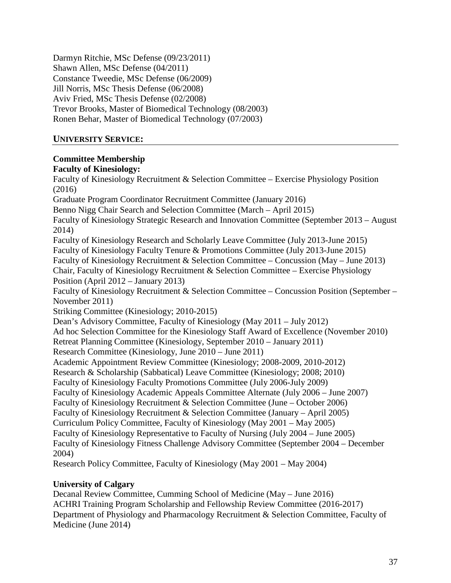Darmyn Ritchie, MSc Defense (09/23/2011) Shawn Allen, MSc Defense (04/2011) Constance Tweedie, MSc Defense (06/2009) Jill Norris, MSc Thesis Defense (06/2008) Aviv Fried, MSc Thesis Defense (02/2008) Trevor Brooks, Master of Biomedical Technology (08/2003) Ronen Behar, Master of Biomedical Technology (07/2003)

# **UNIVERSITY SERVICE:**

## **Committee Membership**

#### **Faculty of Kinesiology:**

Faculty of Kinesiology Recruitment & Selection Committee – Exercise Physiology Position (2016) Graduate Program Coordinator Recruitment Committee (January 2016) Benno Nigg Chair Search and Selection Committee (March – April 2015) Faculty of Kinesiology Strategic Research and Innovation Committee (September 2013 – August 2014) Faculty of Kinesiology Research and Scholarly Leave Committee (July 2013-June 2015) Faculty of Kinesiology Faculty Tenure & Promotions Committee (July 2013-June 2015) Faculty of Kinesiology Recruitment & Selection Committee – Concussion (May – June 2013) Chair, Faculty of Kinesiology Recruitment & Selection Committee – Exercise Physiology Position (April 2012 – January 2013) Faculty of Kinesiology Recruitment & Selection Committee – Concussion Position (September – November 2011) Striking Committee (Kinesiology; 2010-2015) Dean's Advisory Committee, Faculty of Kinesiology (May 2011 – July 2012) Ad hoc Selection Committee for the Kinesiology Staff Award of Excellence (November 2010) Retreat Planning Committee (Kinesiology, September 2010 – January 2011) Research Committee (Kinesiology, June 2010 – June 2011) Academic Appointment Review Committee (Kinesiology; 2008-2009, 2010-2012) Research & Scholarship (Sabbatical) Leave Committee (Kinesiology; 2008; 2010) Faculty of Kinesiology Faculty Promotions Committee (July 2006-July 2009) Faculty of Kinesiology Academic Appeals Committee Alternate (July 2006 – June 2007) Faculty of Kinesiology Recruitment & Selection Committee (June – October 2006) Faculty of Kinesiology Recruitment & Selection Committee (January – April 2005) Curriculum Policy Committee, Faculty of Kinesiology (May 2001 – May 2005) Faculty of Kinesiology Representative to Faculty of Nursing (July 2004 – June 2005) Faculty of Kinesiology Fitness Challenge Advisory Committee (September 2004 – December 2004) Research Policy Committee, Faculty of Kinesiology (May 2001 – May 2004)

# **University of Calgary**

Decanal Review Committee, Cumming School of Medicine (May – June 2016) ACHRI Training Program Scholarship and Fellowship Review Committee (2016-2017) Department of Physiology and Pharmacology Recruitment & Selection Committee, Faculty of Medicine (June 2014)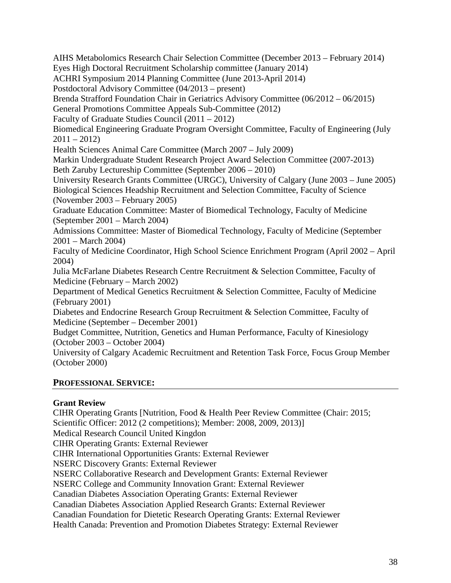AIHS Metabolomics Research Chair Selection Committee (December 2013 – February 2014) Eyes High Doctoral Recruitment Scholarship committee (January 2014) ACHRI Symposium 2014 Planning Committee (June 2013-April 2014) Postdoctoral Advisory Committee (04/2013 – present) Brenda Strafford Foundation Chair in Geriatrics Advisory Committee (06/2012 – 06/2015) General Promotions Committee Appeals Sub-Committee (2012) Faculty of Graduate Studies Council (2011 – 2012) Biomedical Engineering Graduate Program Oversight Committee, Faculty of Engineering (July  $2011 - 2012$ Health Sciences Animal Care Committee (March 2007 – July 2009) Markin Undergraduate Student Research Project Award Selection Committee (2007-2013) Beth Zaruby Lectureship Committee (September 2006 – 2010) University Research Grants Committee (URGC), University of Calgary (June 2003 – June 2005) Biological Sciences Headship Recruitment and Selection Committee, Faculty of Science (November 2003 – February 2005) Graduate Education Committee: Master of Biomedical Technology, Faculty of Medicine (September 2001 – March 2004) Admissions Committee: Master of Biomedical Technology, Faculty of Medicine (September 2001 – March 2004) Faculty of Medicine Coordinator, High School Science Enrichment Program (April 2002 – April 2004) Julia McFarlane Diabetes Research Centre Recruitment & Selection Committee, Faculty of Medicine (February – March 2002) Department of Medical Genetics Recruitment & Selection Committee, Faculty of Medicine (February 2001) Diabetes and Endocrine Research Group Recruitment & Selection Committee, Faculty of Medicine (September – December 2001) Budget Committee, Nutrition, Genetics and Human Performance, Faculty of Kinesiology (October 2003 – October 2004) University of Calgary Academic Recruitment and Retention Task Force, Focus Group Member (October 2000)

# **PROFESSIONAL SERVICE:**

# **Grant Review**

CIHR Operating Grants [Nutrition, Food & Health Peer Review Committee (Chair: 2015; Scientific Officer: 2012 (2 competitions); Member: 2008, 2009, 2013)] Medical Research Council United Kingdon CIHR Operating Grants: External Reviewer CIHR International Opportunities Grants: External Reviewer NSERC Discovery Grants: External Reviewer NSERC Collaborative Research and Development Grants: External Reviewer NSERC College and Community Innovation Grant: External Reviewer Canadian Diabetes Association Operating Grants: External Reviewer Canadian Diabetes Association Applied Research Grants: External Reviewer Canadian Foundation for Dietetic Research Operating Grants: External Reviewer Health Canada: Prevention and Promotion Diabetes Strategy: External Reviewer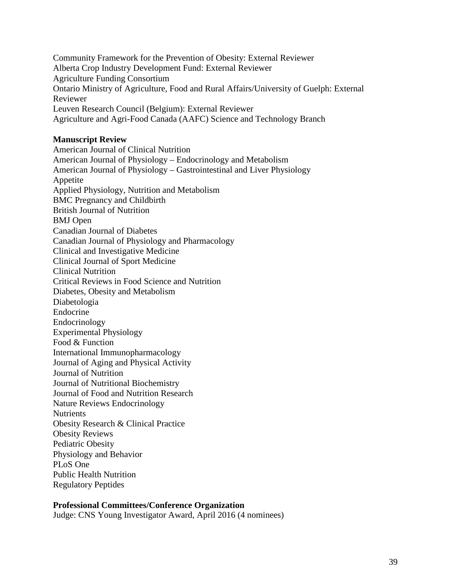Community Framework for the Prevention of Obesity: External Reviewer Alberta Crop Industry Development Fund: External Reviewer Agriculture Funding Consortium Ontario Ministry of Agriculture, Food and Rural Affairs/University of Guelph: External Reviewer Leuven Research Council (Belgium): External Reviewer Agriculture and Agri-Food Canada (AAFC) Science and Technology Branch

#### **Manuscript Review**

American Journal of Clinical Nutrition American Journal of Physiology – Endocrinology and Metabolism American Journal of Physiology – Gastrointestinal and Liver Physiology Appetite Applied Physiology, Nutrition and Metabolism BMC Pregnancy and Childbirth British Journal of Nutrition BMJ Open Canadian Journal of Diabetes Canadian Journal of Physiology and Pharmacology Clinical and Investigative Medicine Clinical Journal of Sport Medicine Clinical Nutrition Critical Reviews in Food Science and Nutrition Diabetes, Obesity and Metabolism Diabetologia Endocrine Endocrinology Experimental Physiology Food & Function International Immunopharmacology Journal of Aging and Physical Activity Journal of Nutrition Journal of Nutritional Biochemistry Journal of Food and Nutrition Research Nature Reviews Endocrinology **Nutrients** Obesity Research & Clinical Practice Obesity Reviews Pediatric Obesity Physiology and Behavior PLoS One Public Health Nutrition Regulatory Peptides

#### **Professional Committees/Conference Organization**

Judge: CNS Young Investigator Award, April 2016 (4 nominees)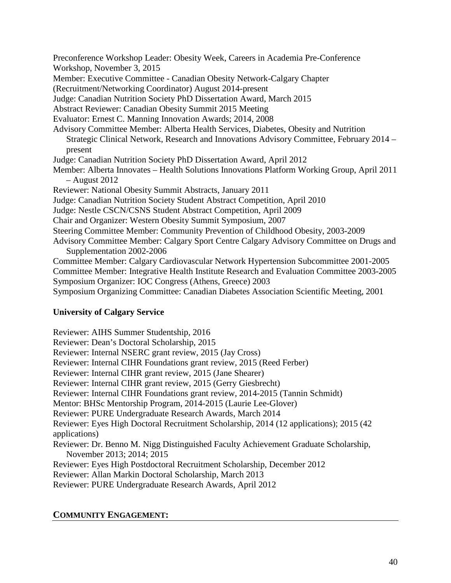Preconference Workshop Leader: Obesity Week, Careers in Academia Pre-Conference Workshop, November 3, 2015 Member: Executive Committee - Canadian Obesity Network-Calgary Chapter (Recruitment/Networking Coordinator) August 2014-present Judge: Canadian Nutrition Society PhD Dissertation Award, March 2015 Abstract Reviewer: Canadian Obesity Summit 2015 Meeting Evaluator: Ernest C. Manning Innovation Awards; 2014, 2008 Advisory Committee Member: Alberta Health Services, Diabetes, Obesity and Nutrition Strategic Clinical Network, Research and Innovations Advisory Committee, February 2014 – present Judge: Canadian Nutrition Society PhD Dissertation Award, April 2012 Member: Alberta Innovates – Health Solutions Innovations Platform Working Group, April 2011 – August 2012 Reviewer: National Obesity Summit Abstracts, January 2011 Judge: Canadian Nutrition Society Student Abstract Competition, April 2010 Judge: Nestle CSCN/CSNS Student Abstract Competition, April 2009 Chair and Organizer: Western Obesity Summit Symposium, 2007 Steering Committee Member: Community Prevention of Childhood Obesity, 2003-2009 Advisory Committee Member: Calgary Sport Centre Calgary Advisory Committee on Drugs and Supplementation 2002-2006 Committee Member: Calgary Cardiovascular Network Hypertension Subcommittee 2001-2005 Committee Member: Integrative Health Institute Research and Evaluation Committee 2003-2005 Symposium Organizer: IOC Congress (Athens, Greece) 2003 Symposium Organizing Committee: Canadian Diabetes Association Scientific Meeting, 2001

# **University of Calgary Service**

Reviewer: AIHS Summer Studentship, 2016 Reviewer: Dean's Doctoral Scholarship, 2015 Reviewer: Internal NSERC grant review, 2015 (Jay Cross) Reviewer: Internal CIHR Foundations grant review, 2015 (Reed Ferber) Reviewer: Internal CIHR grant review, 2015 (Jane Shearer) Reviewer: Internal CIHR grant review, 2015 (Gerry Giesbrecht) Reviewer: Internal CIHR Foundations grant review, 2014-2015 (Tannin Schmidt) Mentor: BHSc Mentorship Program, 2014-2015 (Laurie Lee-Glover) Reviewer: PURE Undergraduate Research Awards, March 2014 Reviewer: Eyes High Doctoral Recruitment Scholarship, 2014 (12 applications); 2015 (42 applications) Reviewer: Dr. Benno M. Nigg Distinguished Faculty Achievement Graduate Scholarship, November 2013; 2014; 2015 Reviewer: Eyes High Postdoctoral Recruitment Scholarship, December 2012 Reviewer: Allan Markin Doctoral Scholarship, March 2013 Reviewer: PURE Undergraduate Research Awards, April 2012

# **COMMUNITY ENGAGEMENT:**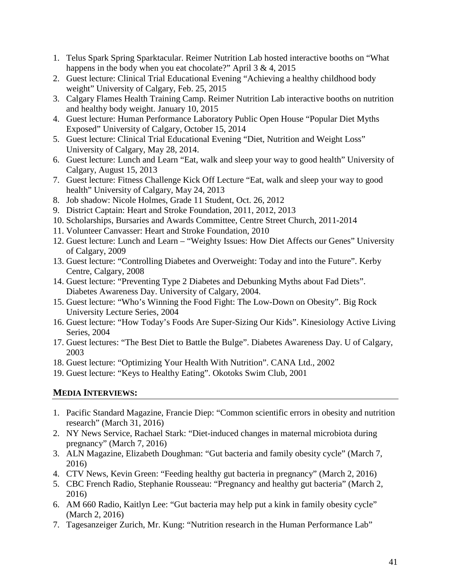- 1. Telus Spark Spring Sparktacular. Reimer Nutrition Lab hosted interactive booths on "What happens in the body when you eat chocolate?" April 3 & 4, 2015
- 2. Guest lecture: Clinical Trial Educational Evening "Achieving a healthy childhood body weight" University of Calgary, Feb. 25, 2015
- 3. Calgary Flames Health Training Camp. Reimer Nutrition Lab interactive booths on nutrition and healthy body weight. January 10, 2015
- 4. Guest lecture: Human Performance Laboratory Public Open House "Popular Diet Myths Exposed" University of Calgary, October 15, 2014
- 5. Guest lecture: Clinical Trial Educational Evening "Diet, Nutrition and Weight Loss" University of Calgary, May 28, 2014.
- 6. Guest lecture: Lunch and Learn "Eat, walk and sleep your way to good health" University of Calgary, August 15, 2013
- 7. Guest lecture: Fitness Challenge Kick Off Lecture "Eat, walk and sleep your way to good health" University of Calgary, May 24, 2013
- 8. Job shadow: Nicole Holmes, Grade 11 Student, Oct. 26, 2012
- 9. District Captain: Heart and Stroke Foundation, 2011, 2012, 2013
- 10. Scholarships, Bursaries and Awards Committee, Centre Street Church, 2011-2014
- 11. Volunteer Canvasser: Heart and Stroke Foundation, 2010
- 12. Guest lecture: Lunch and Learn "Weighty Issues: How Diet Affects our Genes" University of Calgary, 2009
- 13. Guest lecture: "Controlling Diabetes and Overweight: Today and into the Future". Kerby Centre, Calgary, 2008
- 14. Guest lecture: "Preventing Type 2 Diabetes and Debunking Myths about Fad Diets". Diabetes Awareness Day. University of Calgary, 2004.
- 15. Guest lecture: "Who's Winning the Food Fight: The Low-Down on Obesity". Big Rock University Lecture Series, 2004
- 16. Guest lecture: "How Today's Foods Are Super-Sizing Our Kids". Kinesiology Active Living Series, 2004
- 17. Guest lectures: "The Best Diet to Battle the Bulge". Diabetes Awareness Day. U of Calgary, 2003
- 18. Guest lecture: "Optimizing Your Health With Nutrition". CANA Ltd., 2002
- 19. Guest lecture: "Keys to Healthy Eating". Okotoks Swim Club, 2001

# **MEDIA INTERVIEWS:**

- 1. Pacific Standard Magazine, Francie Diep: "Common scientific errors in obesity and nutrition research" (March 31, 2016)
- 2. NY News Service, Rachael Stark: "Diet-induced changes in maternal microbiota during pregnancy" (March 7, 2016)
- 3. ALN Magazine, Elizabeth Doughman: "Gut bacteria and family obesity cycle" (March 7, 2016)
- 4. CTV News, Kevin Green: "Feeding healthy gut bacteria in pregnancy" (March 2, 2016)
- 5. CBC French Radio, Stephanie Rousseau: "Pregnancy and healthy gut bacteria" (March 2, 2016)
- 6. AM 660 Radio, Kaitlyn Lee: "Gut bacteria may help put a kink in family obesity cycle" (March 2, 2016)
- 7. Tagesanzeiger Zurich, Mr. Kung: "Nutrition research in the Human Performance Lab"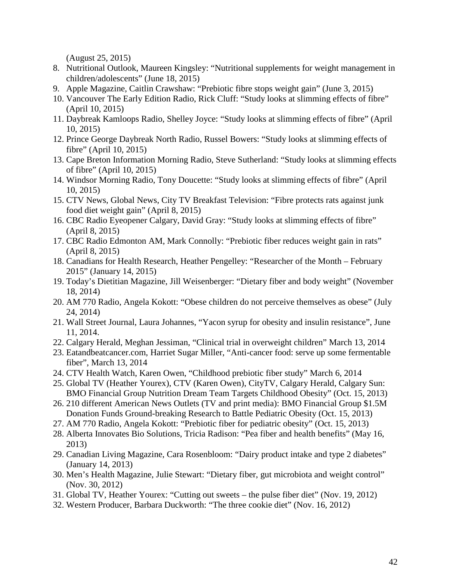(August 25, 2015)

- 8. Nutritional Outlook, Maureen Kingsley: "Nutritional supplements for weight management in children/adolescents" (June 18, 2015)
- 9. Apple Magazine, Caitlin Crawshaw: "Prebiotic fibre stops weight gain" (June 3, 2015)
- 10. Vancouver The Early Edition Radio, Rick Cluff: "Study looks at slimming effects of fibre" (April 10, 2015)
- 11. Daybreak Kamloops Radio, Shelley Joyce: "Study looks at slimming effects of fibre" (April 10, 2015)
- 12. Prince George Daybreak North Radio, Russel Bowers: "Study looks at slimming effects of fibre" (April 10, 2015)
- 13. Cape Breton Information Morning Radio, Steve Sutherland: "Study looks at slimming effects of fibre" (April 10, 2015)
- 14. Windsor Morning Radio, Tony Doucette: "Study looks at slimming effects of fibre" (April 10, 2015)
- 15. CTV News, Global News, City TV Breakfast Television: "Fibre protects rats against junk food diet weight gain" (April 8, 2015)
- 16. CBC Radio Eyeopener Calgary, David Gray: "Study looks at slimming effects of fibre" (April 8, 2015)
- 17. CBC Radio Edmonton AM, Mark Connolly: "Prebiotic fiber reduces weight gain in rats" (April 8, 2015)
- 18. Canadians for Health Research, Heather Pengelley: "Researcher of the Month February 2015" (January 14, 2015)
- 19. Today's Dietitian Magazine, Jill Weisenberger: "Dietary fiber and body weight" (November 18, 2014)
- 20. AM 770 Radio, Angela Kokott: "Obese children do not perceive themselves as obese" (July 24, 2014)
- 21. Wall Street Journal, Laura Johannes, "Yacon syrup for obesity and insulin resistance", June 11, 2014.
- 22. Calgary Herald, Meghan Jessiman, "Clinical trial in overweight children" March 13, 2014
- 23. Eatandbeatcancer.com, Harriet Sugar Miller, "Anti-cancer food: serve up some fermentable fiber", March 13, 2014
- 24. CTV Health Watch, Karen Owen, "Childhood prebiotic fiber study" March 6, 2014
- 25. Global TV (Heather Yourex), CTV (Karen Owen), CityTV, Calgary Herald, Calgary Sun: BMO Financial Group Nutrition Dream Team Targets Childhood Obesity" (Oct. 15, 2013)
- 26. 210 different American News Outlets (TV and print media): BMO Financial Group \$1.5M Donation Funds Ground-breaking Research to Battle Pediatric Obesity (Oct. 15, 2013)
- 27. AM 770 Radio, Angela Kokott: "Prebiotic fiber for pediatric obesity" (Oct. 15, 2013)
- 28. Alberta Innovates Bio Solutions, Tricia Radison: "Pea fiber and health benefits" (May 16, 2013)
- 29. Canadian Living Magazine, Cara Rosenbloom: "Dairy product intake and type 2 diabetes" (January 14, 2013)
- 30. Men's Health Magazine, Julie Stewart: "Dietary fiber, gut microbiota and weight control" (Nov. 30, 2012)
- 31. Global TV, Heather Yourex: "Cutting out sweets the pulse fiber diet" (Nov. 19, 2012)
- 32. Western Producer, Barbara Duckworth: "The three cookie diet" (Nov. 16, 2012)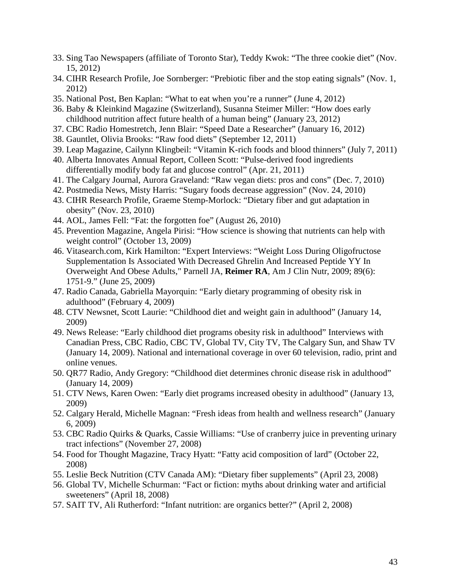- 33. Sing Tao Newspapers (affiliate of Toronto Star), Teddy Kwok: "The three cookie diet" (Nov. 15, 2012)
- 34. CIHR Research Profile, Joe Sornberger: "Prebiotic fiber and the stop eating signals" (Nov. 1, 2012)
- 35. National Post, Ben Kaplan: "What to eat when you're a runner" (June 4, 2012)
- 36. Baby & Kleinkind Magazine (Switzerland), Susanna Steimer Miller: "How does early childhood nutrition affect future health of a human being" (January 23, 2012)
- 37. CBC Radio Homestretch, Jenn Blair: "Speed Date a Researcher" (January 16, 2012)
- 38. Gauntlet, Olivia Brooks: "Raw food diets" (September 12, 2011)
- 39. Leap Magazine, Cailynn Klingbeil: "Vitamin K-rich foods and blood thinners" (July 7, 2011)
- 40. Alberta Innovates Annual Report, Colleen Scott: "Pulse-derived food ingredients differentially modify body fat and glucose control" (Apr. 21, 2011)
- 41. The Calgary Journal, Aurora Graveland: "Raw vegan diets: pros and cons" (Dec. 7, 2010)
- 42. Postmedia News, Misty Harris: "Sugary foods decrease aggression" (Nov. 24, 2010)
- 43. CIHR Research Profile, Graeme Stemp-Morlock: "Dietary fiber and gut adaptation in obesity" (Nov. 23, 2010)
- 44. AOL, James Fell: "Fat: the forgotten foe" (August 26, 2010)
- 45. Prevention Magazine, Angela Pirisi: "How science is showing that nutrients can help with weight control<sup>7</sup> (October 13, 2009)
- 46. Vitasearch.com, Kirk Hamilton: "Expert Interviews: "Weight Loss During Oligofructose Supplementation Is Associated With Decreased Ghrelin And Increased Peptide YY In Overweight And Obese Adults," Parnell JA, **Reimer RA**, Am J Clin Nutr, 2009; 89(6): 1751-9." (June 25, 2009)
- 47. Radio Canada, Gabriella Mayorquin: "Early dietary programming of obesity risk in adulthood" (February 4, 2009)
- 48. CTV Newsnet, Scott Laurie: "Childhood diet and weight gain in adulthood" (January 14, 2009)
- 49. News Release: "Early childhood diet programs obesity risk in adulthood" Interviews with Canadian Press, CBC Radio, CBC TV, Global TV, City TV, The Calgary Sun, and Shaw TV (January 14, 2009). National and international coverage in over 60 television, radio, print and online venues.
- 50. QR77 Radio, Andy Gregory: "Childhood diet determines chronic disease risk in adulthood" (January 14, 2009)
- 51. CTV News, Karen Owen: "Early diet programs increased obesity in adulthood" (January 13, 2009)
- 52. Calgary Herald, Michelle Magnan: "Fresh ideas from health and wellness research" (January 6, 2009)
- 53. CBC Radio Quirks & Quarks, Cassie Williams: "Use of cranberry juice in preventing urinary tract infections" (November 27, 2008)
- 54. Food for Thought Magazine, Tracy Hyatt: "Fatty acid composition of lard" (October 22, 2008)
- 55. Leslie Beck Nutrition (CTV Canada AM): "Dietary fiber supplements" (April 23, 2008)
- 56. Global TV, Michelle Schurman: "Fact or fiction: myths about drinking water and artificial sweeteners" (April 18, 2008)
- 57. SAIT TV, Ali Rutherford: "Infant nutrition: are organics better?" (April 2, 2008)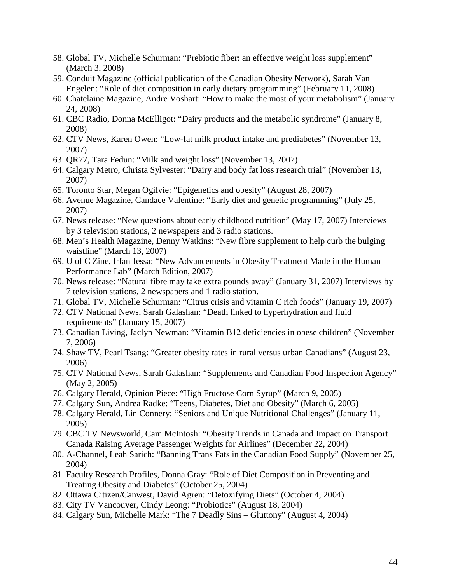- 58. Global TV, Michelle Schurman: "Prebiotic fiber: an effective weight loss supplement" (March 3, 2008)
- 59. Conduit Magazine (official publication of the Canadian Obesity Network), Sarah Van Engelen: "Role of diet composition in early dietary programming" (February 11, 2008)
- 60. Chatelaine Magazine, Andre Voshart: "How to make the most of your metabolism" (January 24, 2008)
- 61. CBC Radio, Donna McElligot: "Dairy products and the metabolic syndrome" (January 8, 2008)
- 62. CTV News, Karen Owen: "Low-fat milk product intake and prediabetes" (November 13, 2007)
- 63. QR77, Tara Fedun: "Milk and weight loss" (November 13, 2007)
- 64. Calgary Metro, Christa Sylvester: "Dairy and body fat loss research trial" (November 13, 2007)
- 65. Toronto Star, Megan Ogilvie: "Epigenetics and obesity" (August 28, 2007)
- 66. Avenue Magazine, Candace Valentine: "Early diet and genetic programming" (July 25, 2007)
- 67. News release: "New questions about early childhood nutrition" (May 17, 2007) Interviews by 3 television stations, 2 newspapers and 3 radio stations.
- 68. Men's Health Magazine, Denny Watkins: "New fibre supplement to help curb the bulging waistline" (March 13, 2007)
- 69. U of C Zine, Irfan Jessa: "New Advancements in Obesity Treatment Made in the Human Performance Lab" (March Edition, 2007)
- 70. News release: "Natural fibre may take extra pounds away" (January 31, 2007) Interviews by 7 television stations, 2 newspapers and 1 radio station.
- 71. Global TV, Michelle Schurman: "Citrus crisis and vitamin C rich foods" (January 19, 2007)
- 72. CTV National News, Sarah Galashan: "Death linked to hyperhydration and fluid requirements" (January 15, 2007)
- 73. Canadian Living, Jaclyn Newman: "Vitamin B12 deficiencies in obese children" (November 7, 2006)
- 74. Shaw TV, Pearl Tsang: "Greater obesity rates in rural versus urban Canadians" (August 23, 2006)
- 75. CTV National News, Sarah Galashan: "Supplements and Canadian Food Inspection Agency" (May 2, 2005)
- 76. Calgary Herald, Opinion Piece: "High Fructose Corn Syrup" (March 9, 2005)
- 77. Calgary Sun, Andrea Radke: "Teens, Diabetes, Diet and Obesity" (March 6, 2005)
- 78. Calgary Herald, Lin Connery: "Seniors and Unique Nutritional Challenges" (January 11, 2005)
- 79. CBC TV Newsworld, Cam McIntosh: "Obesity Trends in Canada and Impact on Transport Canada Raising Average Passenger Weights for Airlines" (December 22, 2004)
- 80. A-Channel, Leah Sarich: "Banning Trans Fats in the Canadian Food Supply" (November 25, 2004)
- 81. Faculty Research Profiles, Donna Gray: "Role of Diet Composition in Preventing and Treating Obesity and Diabetes" (October 25, 2004)
- 82. Ottawa Citizen/Canwest, David Agren: "Detoxifying Diets" (October 4, 2004)
- 83. City TV Vancouver, Cindy Leong: "Probiotics" (August 18, 2004)
- 84. Calgary Sun, Michelle Mark: "The 7 Deadly Sins Gluttony" (August 4, 2004)